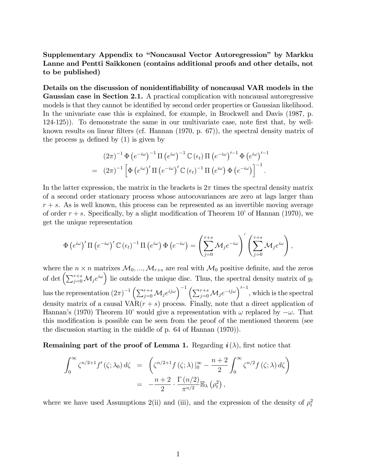Supplementary Appendix to "Noncausal Vector Autoregression" by Markku Lanne and Pentti Saikkonen (contains additional proofs and other details, not to be published)

Details on the discussion of nonidentifiability of noncausal VAR models in the Gaussian case in Section 2.1. A practical complication with noncausal autoregressive models is that they cannot be identified by second order properties or Gaussian likelihood. In the univariate case this is explained, for example, in Brockwell and Davis (1987, p. 124-125)). To demonstrate the same in our multivariate case, note Örst that, by wellknown results on linear filters (cf. Hannan (1970, p. 67)), the spectral density matrix of the process  $y_t$  defined by (1) is given by

$$
(2\pi)^{-1} \Phi (e^{-i\omega})^{-1} \Pi (e^{i\omega})^{-1} \mathbb{C} (\epsilon_t) \Pi (e^{-i\omega})'^{-1} \Phi (e^{i\omega})'^{-1}
$$
  
= 
$$
(2\pi)^{-1} \left[ \Phi (e^{i\omega})' \Pi (e^{-i\omega})' \mathbb{C} (\epsilon_t)^{-1} \Pi (e^{i\omega}) \Phi (e^{-i\omega}) \right]^{-1}.
$$

In the latter expression, the matrix in the brackets is  $2\pi$  times the spectral density matrix of a second order stationary process whose autocovariances are zero at lags larger than  $r + s$ . As is well known, this process can be represented as an invertible moving average of order  $r + s$ . Specifically, by a slight modification of Theorem 10' of Hannan (1970), we get the unique representation

$$
\Phi\left(e^{i\omega}\right)' \Pi\left(e^{-i\omega}\right)' \mathbb{C}\left(\epsilon_t\right)^{-1} \Pi\left(e^{i\omega}\right) \Phi\left(e^{-i\omega}\right) = \left(\sum_{j=0}^{r+s} \mathcal{M}_j e^{-i\omega}\right)' \left(\sum_{j=0}^{r+s} \mathcal{M}_j e^{i\omega}\right),
$$

where the  $n \times n$  matrixes  $\mathcal{M}_0, ..., \mathcal{M}_{r+s}$  are real with  $\mathcal{M}_0$  positive definite, and the zeros of det  $\left(\sum_{j=0}^{r+s} \mathcal{M}_j e^{i\omega}\right)$  lie outside the unique disc. Thus, the spectral density matrix of  $y_t$ has the representation  $(2\pi)^{-1} \left( \sum_{j=0}^{r+s} \mathcal{M}_j e^{ij\omega} \right)^{-1} \left( \sum_{j=0}^{r+s} \mathcal{M}_j e^{-ij\omega} \right)^{\prime-1}$ , which is the spectral density matrix of a causal  $VAR(r + s)$  process. Finally, note that a direct application of Hannan's (1970) Theorem 10' would give a representation with  $\omega$  replaced by  $-\omega$ . That this modification is possible can be seen from the proof of the mentioned theorem (see the discussion starting in the middle of p. 64 of Hannan (1970)).

Remaining part of the proof of Lemma 1. Regarding  $i(\lambda)$ , first notice that

$$
\int_0^\infty \zeta^{n/2+1} f'(\zeta; \lambda_0) d\zeta = \left( \zeta^{n/2+1} f(\zeta; \lambda) \Big|_0^\infty - \frac{n+2}{2} \int_0^\infty \zeta^{n/2} f(\zeta; \lambda) d\zeta \right)
$$
  
= 
$$
-\frac{n+2}{2} \cdot \frac{\Gamma(n/2)}{\pi^{n/2}} \mathbb{E}_\lambda(\rho_t^2),
$$

where we have used Assumptions 2(ii) and (iii), and the expression of the density of  $\rho_t^2$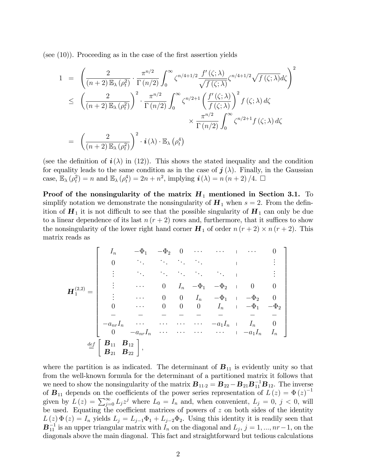(see  $(10)$ ). Proceeding as in the case of the first assertion yields

$$
1 = \left(\frac{2}{(n+2)\mathbb{E}_{\lambda}(\rho_t^2)} \cdot \frac{\pi^{n/2}}{\Gamma(n/2)} \int_0^{\infty} \zeta^{n/4+1/2} \frac{f'(\zeta;\lambda)}{\sqrt{f(\zeta;\lambda)}} \zeta^{n/4+1/2} \sqrt{f(\zeta;\lambda)} d\zeta\right)^2
$$
  

$$
\leq \left(\frac{2}{(n+2)\mathbb{E}_{\lambda}(\rho_t^2)}\right)^2 \cdot \frac{\pi^{n/2}}{\Gamma(n/2)} \int_0^{\infty} \zeta^{n/2+1} \left(\frac{f'(\zeta;\lambda)}{f(\zeta;\lambda)}\right)^2 f(\zeta;\lambda) d\zeta
$$
  

$$
\times \frac{\pi^{n/2}}{\Gamma(n/2)} \int_0^{\infty} \zeta^{n/2+1} f(\zeta;\lambda) d\zeta
$$
  

$$
= \left(\frac{2}{(n+2)\mathbb{E}_{\lambda}(\rho_t^2)}\right)^2 \cdot \mathbf{i}(\lambda) \cdot \mathbb{E}_{\lambda}(\rho_t^4)
$$

(see the definition of  $\mathbf{i}(\lambda)$  in (12)). This shows the stated inequality and the condition for equality leads to the same condition as in the case of  $j(\lambda)$ . Finally, in the Gaussian case,  $\mathbb{E}_{\lambda}(\rho_t^2) = n$  and  $\mathbb{E}_{\lambda}(\rho_t^4) = 2n + n^2$ , implying  $\mathbf{i}(\lambda) = n(n+2)/4$ .  $\Box$ 

Proof of the nonsingularity of the matrix  $H_1$  mentioned in Section 3.1. To simplify notation we demonstrate the nonsingularity of  $H_1$  when  $s = 2$ . From the definition of  $H_1$  it is not difficult to see that the possible singularity of  $H_1$  can only be due to a linear dependence of its last  $n (r + 2)$  rows and, furthermore, that it suffices to show the nonsingularity of the lower right hand corner  $H_1$  of order  $n (r + 2) \times n (r + 2)$ . This matrix reads as

$$
\mathbf{H}_{1}^{(2,2)} = \begin{bmatrix}\nI_n & -\Phi_1 & -\Phi_2 & 0 & \cdots & \cdots & 0 & 0 \\
0 & \ddots & \ddots & \ddots & \ddots & \ddots & \vdots & \vdots \\
\vdots & \ddots & \ddots & \ddots & \ddots & \ddots & \vdots & \vdots \\
\vdots & \ddots & 0 & I_n & -\Phi_1 & -\Phi_2 & 0 & 0 \\
\vdots & \ddots & 0 & 0 & I_n & -\Phi_1 & -\Phi_2 & 0 \\
0 & \cdots & 0 & 0 & 0 & I_n & -\Phi_1 & -\Phi_2 & 0 \\
0 & \cdots & 0 & 0 & 0 & I_n & -\Phi_1 & -\Phi_2 & -\Phi_2 \\
- & - & - & - & - & - & - & - & - & - \\
-a_{nr}I_n & \cdots & \cdots & \cdots & \cdots & -a_1I_n & I_n & 0 \\
0 & -a_{nr}I_n & \cdots & \cdots & \cdots & \cdots & -a_1I_n & I_n\n\end{bmatrix}
$$

where the partition is as indicated. The determinant of  $B_{11}$  is evidently unity so that from the well-known formula for the determinant of a partitioned matrix it follows that we need to show the nonsingularity of the matrix  $\mathbf{B}_{11\cdot 2} = \mathbf{B}_{22} - \mathbf{B}_{21} \mathbf{B}_{11}^{-1} \mathbf{B}_{12}$ . The inverse of  $B_{11}$  depends on the coefficients of the power series representation of  $L(z) = \Phi(z)^{-1}$ given by  $L(z) = \sum_{j=0}^{\infty} L_j z^j$  where  $L_0 = I_n$  and, when convenient,  $L_j = 0, j < 0$ , will be used. Equating the coefficient matrices of powers of  $z$  on both sides of the identity  $L(z) \Phi(z) = I_n$  yields  $L_j = L_{j-1} \Phi_1 + L_{j-2} \Phi_2$ . Using this identity it is readily seen that  $\mathbf{B}_{11}^{-1}$  is an upper triangular matrix with  $I_n$  on the diagonal and  $L_j$ ,  $j = 1, ..., nr-1$ , on the diagonals above the main diagonal. This fact and straightforward but tedious calculations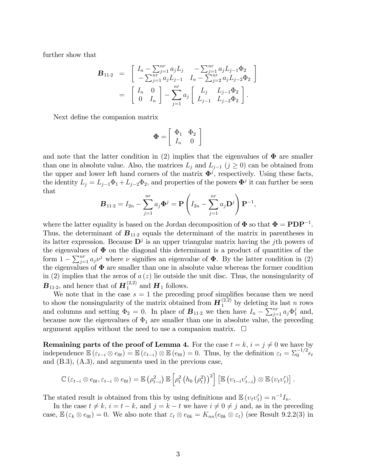further show that

$$
\mathbf{B}_{11\cdot 2} = \begin{bmatrix} I_n - \sum_{j=1}^{nr} a_j L_j & -\sum_{j=1}^{nr} a_j L_{j-1} \Phi_2 \\ -\sum_{j=1}^{nr} a_j L_{j-1} & I_n - \sum_{j=2}^{nr} a_j L_{j-2} \Phi_2 \end{bmatrix}
$$
  
= 
$$
\begin{bmatrix} I_n & 0 \\ 0 & I_n \end{bmatrix} - \sum_{j=1}^{nr} a_j \begin{bmatrix} L_j & L_{j-1} \Phi_2 \\ L_{j-1} & L_{j-2} \Phi_2 \end{bmatrix}.
$$

Next define the companion matrix

$$
\mathbf{\Phi} = \left[ \begin{array}{cc} \Phi_1 & \Phi_2 \\ I_n & 0 \end{array} \right]
$$

and note that the latter condition in (2) implies that the eigenvalues of  $\Phi$  are smaller than one in absolute value. Also, the matrices  $L_j$  and  $L_{j-1}$   $(j \geq 0)$  can be obtained from the upper and lower left hand corners of the matrix  $\mathbf{\Phi}^j$ , respectively. Using these facts, the identity  $L_j = L_{j-1} \Phi_1 + L_{j-2} \Phi_2$ , and properties of the powers  $\mathbf{\Phi}^j$  it can further be seen that

$$
\mathbf{B}_{11\cdot 2} = I_{2n} - \sum_{j=1}^{nr} a_j \mathbf{\Phi}^j = \mathbf{P} \left( I_{2n} - \sum_{j=1}^{nr} a_j \mathbf{D}^j \right) \mathbf{P}^{-1},
$$

where the latter equality is based on the Jordan decomposition of  $\Phi$  so that  $\Phi = \mathbf{PDP}^{-1}$ . Thus, the determinant of  $B_{11.2}$  equals the determinant of the matrix in parentheses in its latter expression. Because  $\mathbf{D}^j$  is an upper triangular matrix having the *j*th powers of the eigenvalues of  $\Phi$  on the diagonal this determinant is a product of quantities of the form  $1 - \sum_{j=1}^{nr} a_j \nu^j$  where  $\nu$  signifies an eigenvalue of  $\Phi$ . By the latter condition in (2) the eigenvalues of  $\Phi$  are smaller than one in absolute value whereas the former condition in (2) implies that the zeros of  $a(z)$  lie outside the unit disc. Thus, the nonsingularity of  $\mathbf{B}_{11\cdot 2}$ , and hence that of  $\mathbf{H}_1^{(2,2)}$  and  $\mathbf{H}_1$  follows.

We note that in the case  $s = 1$  the preceding proof simplifies because then we need to show the nonsingularity of the matrix obtained from  $\mathbf{H}_1^{(2,2)}$  by deleting its last n rows and columns and setting  $\Phi_2 = 0$ . In place of  $\mathbf{B}_{11\cdot 2}$  we then have  $I_n - \sum_{j=1}^{nr} a_j \Phi_1^j$  and, because now the eigenvalues of  $\Phi_1$  are smaller than one in absolute value, the preceding argument applies without the need to use a companion matrix.  $\Box$ 

**Remaining parts of the proof of Lemma 4.** For the case  $t = k$ ,  $i = j \neq 0$  we have by independence  $\mathbb{E}\left(\varepsilon_{t-i}\otimes e_{0t}\right)=\mathbb{E}\left(\varepsilon_{t-i}\right)\otimes \mathbb{E}\left(e_{0t}\right)=0$ . Thus, by the definition  $\varepsilon_t=\sum_0^{-1/2}\epsilon_t$ and (B.3), (A.3), and arguments used in the previous case,

$$
\mathbb{C}\left(\varepsilon_{t-i}\otimes e_{0t},\varepsilon_{t-i}\otimes e_{0t}\right)=\mathbb{E}\left(\rho_{t-i}^2\right)\mathbb{E}\left[\rho_t^2\left(h_0\left(\rho_t^2\right)\right)^2\right]\left[\mathbb{E}\left(v_{t-i}v'_{t-i}\right)\otimes\mathbb{E}\left(v_tv'_t\right)\right].
$$

The stated result is obtained from this by using definitions and  $\mathbb{E}(v_t v_t') = n^{-1} I_n$ .

In the case  $t \neq k$ ,  $i = t - k$ , and  $j = k - t$  we have  $i \neq 0 \neq j$  and, as in the preceding case,  $\mathbb{E}(\varepsilon_k \otimes e_{0t}) = 0$ . We also note that  $\varepsilon_t \otimes e_{0k} = K_{nn}(e_{0k} \otimes \varepsilon_t)$  (see Result 9.2.2(3) in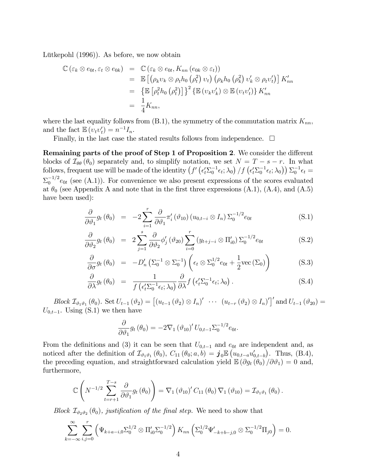Lütkepohl  $(1996)$ ). As before, we now obtain

$$
\mathbb{C} \left( \varepsilon_k \otimes e_{0t}, \varepsilon_t \otimes e_{0k} \right) = \mathbb{C} \left( \varepsilon_k \otimes e_{0t}, K_{nn} \left( e_{0k} \otimes \varepsilon_t \right) \right)
$$
  
\n
$$
= \mathbb{E} \left[ \left( \rho_k v_k \otimes \rho_t h_0 \left( \rho_t^2 \right) v_t \right) \left( \rho_k h_0 \left( \rho_k^2 \right) v'_k \otimes \rho_t v'_t \right) \right] K'_{nn}
$$
  
\n
$$
= \left\{ \mathbb{E} \left[ \rho_t^2 h_0 \left( \rho_t^2 \right) \right] \right\}^2 \left\{ \mathbb{E} \left( v_k v'_k \right) \otimes \mathbb{E} \left( v_t v'_t \right) \right\} K'_{nn}
$$
  
\n
$$
= \frac{1}{4} K_{nn},
$$

where the last equality follows from  $(B.1)$ , the symmetry of the commutation matrix  $K_{nn}$ , and the fact  $\mathbb{E}(v_t v_t') = n^{-1} I_n$ .

Finally, in the last case the stated results follows from independence.  $\Box$ 

Remaining parts of the proof of Step 1 of Proposition 2. We consider the different blocks of  $\mathcal{I}_{\theta\theta}(\theta_0)$  separately and, to simplify notation, we set  $N = T - s - r$ . In what follows, frequent use will be made of the identity  $(f \ ( \epsilon_t' \Sigma_0^{-1} \epsilon_t; \lambda_0) / f \ (\epsilon_t' \Sigma_0^{-1} \epsilon_t; \lambda_0) ) \Sigma_0^{-1} \epsilon_t =$  $\Sigma_0^{-1/2}e_{0t}$  (see (A.1)). For convenience we also present expressions of the scores evaluated at  $\theta_0$  (see Appendix A and note that in the first three expressions (A.1), (A.4), and (A.5) have been used):

$$
\frac{\partial}{\partial \vartheta_1} g_t (\theta_0) = -2 \sum_{i=1}^r \frac{\partial}{\partial \vartheta_1} \pi'_i (\vartheta_{10}) (u_{0,t-i} \otimes I_n) \Sigma_0^{-1/2} e_{0t}
$$
(S.1)

$$
\frac{\partial}{\partial \vartheta_2} g_t (\theta_0) = 2 \sum_{j=1}^s \frac{\partial}{\partial \vartheta_2} \phi_j' (\vartheta_{20}) \sum_{i=0}^r (y_{t+j-i} \otimes \Pi_{i0}') \Sigma_0^{-1/2} e_{0t}
$$
(S.2)

$$
\frac{\partial}{\partial \sigma} g_t (\theta_0) = -D'_n \left( \Sigma_0^{-1} \otimes \Sigma_0^{-1} \right) \left( \epsilon_t \otimes \Sigma_0^{1/2} e_{0t} + \frac{1}{2} \text{vec} \left( \Sigma_0 \right) \right) \tag{S.3}
$$

$$
\frac{\partial}{\partial \lambda} g_t (\theta_0) = \frac{1}{f(\epsilon_t' \Sigma_0^{-1} \epsilon_t; \lambda_0)} \frac{\partial}{\partial \lambda} f(\epsilon_t' \Sigma_0^{-1} \epsilon_t; \lambda_0).
$$
 (S.4)

Block  $\mathcal{I}_{\vartheta_1\vartheta_1}(\theta_0)$ . Set  $U_{t-1}(\vartheta_2) = \left[ (u_{t-1}(\vartheta_2) \otimes I_n)' \cdots (u_{t-r}(\vartheta_2) \otimes I_n)' \right]'$  and  $U_{t-1}(\vartheta_{20}) =$  $U_{0,t-1}$ . Using (S.1) we then have

$$
\frac{\partial}{\partial \vartheta_1} g_t(\theta_0) = -2\nabla_1 (\vartheta_{10})' U_{0,t-1} \Sigma_0^{-1/2} e_{0t}.
$$

From the definitions and (3) it can be seen that  $U_{0,t-1}$  and  $e_{0t}$  are independent and, as noticed after the definition of  $\mathcal{I}_{\vartheta_1\vartheta_1}(\theta_0)$ ,  $C_{11}(\theta_0; a, b) = \mathbf{j}_0 \mathbb{E}\left(u_{0,t-a} u'_{0,t-b}\right)$ . Thus, (B.4), the preceding equation, and straightforward calculation yield  $\mathbb{E}(\partial g_t(\theta_0)/\partial \vartheta_1) = 0$  and, furthermore,

$$
\mathbb{C}\left(N^{-1/2}\sum_{t=r+1}^{T-s}\frac{\partial}{\partial\vartheta_1}g_t(\theta_0)\right)=\nabla_1(\vartheta_{10})'C_{11}(\theta_0)\nabla_1(\vartheta_{10})=\mathcal{I}_{\vartheta_1\vartheta_1}(\theta_0).
$$

Block  $\mathcal{I}_{\vartheta_2\vartheta_2}(\theta_0)$ , justification of the final step. We need to show that

$$
\sum_{k=-\infty}^{\infty} \sum_{i,j=0}^{r} \left( \Psi_{k+a-i,0} \Sigma_0^{1/2} \otimes \Pi_{i0}' \Sigma_0^{-1/2} \right) K_{nn} \left( \Sigma_0^{1/2} \Psi'_{-k+b-j,0} \otimes \Sigma_0^{-1/2} \Pi_{j0} \right) = 0.
$$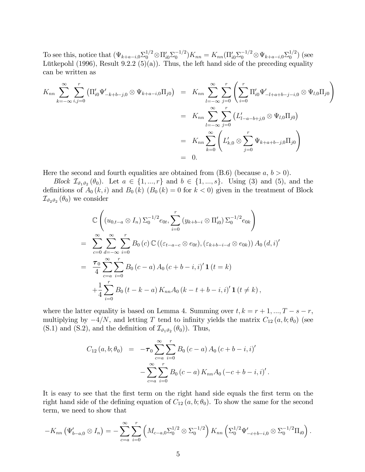To see this, notice that  $(\Psi_{k+a-i,0} \Sigma_0^{1/2} \otimes \Pi_{i0}' \Sigma_0^{-1/2}) K_{nn} = K_{nn} (\Pi_{i0}' \Sigma_0^{-1/2} \otimes \Psi_{k+a-i,0} \Sigma_0^{1/2})$  $_{0}^{1/2}$ ) (see Lütkepohl (1996), Result 9.2.2 (5)(a)). Thus, the left hand side of the preceding equality can be written as

$$
K_{nn} \sum_{k=-\infty}^{\infty} \sum_{i,j=0}^{r} \left( \Pi'_{i0} \Psi'_{-k+b-j,0} \otimes \Psi_{k+a-i,0} \Pi_{j0} \right) = K_{nn} \sum_{l=-\infty}^{\infty} \sum_{j=0}^{r} \left( \sum_{i=0}^{r} \Pi'_{i0} \Psi'_{-l+a+b-j-i,0} \otimes \Psi_{l,0} \Pi_{j0} \right)
$$
  

$$
= K_{nn} \sum_{l=-\infty}^{\infty} \sum_{j=0}^{r} \left( L'_{l-a-b+j,0} \otimes \Psi_{l,0} \Pi_{j0} \right)
$$
  

$$
= K_{nn} \sum_{k=0}^{\infty} \left( L'_{k,0} \otimes \sum_{j=0}^{r} \Psi_{k+a+b-j,0} \Pi_{j0} \right)
$$
  

$$
= 0.
$$

Here the second and fourth equalities are obtained from  $(B.6)$  (because  $a, b > 0$ ).

Block  $\mathcal{I}_{\vartheta_1\vartheta_2}(\theta_0)$ . Let  $a \in \{1, ..., r\}$  and  $b \in \{1, ..., s\}$ . Using (3) and (5), and the definitions of  $A_0 (k, i)$  and  $B_0 (k) (B_0 (k) = 0$  for  $k < 0$ ) given in the treatment of Block  $\mathcal{I}_{\vartheta_2 \vartheta_2} (\theta_0)$  we consider

$$
\mathbb{C}\left((u_{0,t-a}\otimes I_n)\,\Sigma_0^{-1/2}e_{0t},\sum_{i=0}^r\,(y_{k+b-i}\otimes\Pi'_{i0})\,\Sigma_0^{-1/2}e_{0k}\right)
$$
\n
$$
=\sum_{c=0}^\infty\sum_{d=-\infty}^\infty\sum_{i=0}^rB_0\,(c)\,\mathbb{C}\left((\varepsilon_{t-a-c}\otimes e_{0t}),(\varepsilon_{k+b-i-d}\otimes e_{0k})\right)A_0\,(d,i)'
$$
\n
$$
=\frac{\tau_0}{4}\sum_{c=a}^\infty\sum_{i=0}^rB_0\,(c-a)\,A_0\,(c+b-i,i)'\,\mathbf{1}\,(t=k)
$$
\n
$$
+\frac{1}{4}\sum_{i=0}^rB_0\,(t-k-a)\,K_{nn}A_0\,(k-t+b-i,i)'\,\mathbf{1}\,(t\neq k),
$$

where the latter equality is based on Lemma 4. Summing over  $t, k = r + 1, ..., T - s - r$ , multiplying by  $-4/N$ , and letting T tend to infinity yields the matrix  $C_{12} (a, b; \theta_0)$  (see (S.1) and (S.2), and the definition of  $\mathcal{I}_{\vartheta_1\vartheta_2}(\theta_0)$ ). Thus,

$$
C_{12}(a, b; \theta_0) = -\tau_0 \sum_{c=a}^{\infty} \sum_{i=0}^{r} B_0 (c-a) A_0 (c+b-i, i)
$$

$$
- \sum_{c=a}^{\infty} \sum_{i=0}^{r} B_0 (c-a) K_{nn} A_0 (-c+b-i, i)
$$

:

It is easy to see that the first term on the right hand side equals the first term on the right hand side of the defining equation of  $C_{12}(a, b; \theta_0)$ . To show the same for the second term, we need to show that

$$
-K_{nn}(\Psi'_{b-a,0}\otimes I_n)=-\sum_{c=a}^{\infty}\sum_{i=0}^{r} \left(M_{c-a,0}\Sigma_0^{1/2}\otimes \Sigma_0^{-1/2}\right)K_{nn}\left(\Sigma_0^{1/2}\Psi'_{-c+b-i,0}\otimes \Sigma_0^{-1/2}\Pi_{i0}\right).
$$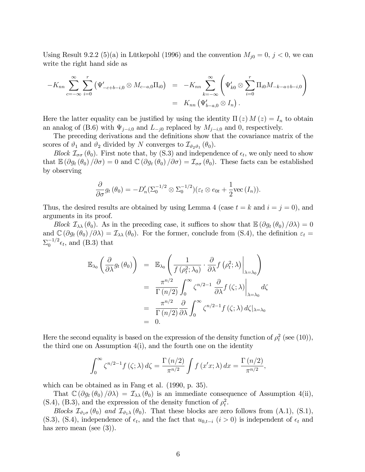Using Result 9.2.2 (5)(a) in Lütkepohl (1996) and the convention  $M_{j0} = 0, j < 0$ , we can write the right hand side as

$$
-K_{nn} \sum_{c=-\infty}^{\infty} \sum_{i=0}^{r} (\Psi'_{-c+b-i,0} \otimes M_{c-a,0} \Pi_{i0}) = -K_{nn} \sum_{k=-\infty}^{\infty} (\Psi'_{k0} \otimes \sum_{i=0}^{r} \Pi_{i0} M_{-k-a+b-i,0})
$$
  
=  $K_{nn} (\Psi'_{b-a,0} \otimes I_n).$ 

Here the latter equality can be justified by using the identity  $\Pi(z) M(z) = I_n$  to obtain an analog of (B.6) with  $\Psi_{j-i,0}$  and  $L_{-j0}$  replaced by  $M_{j-i,0}$  and 0, respectively.

The preceding derivations and the definitions show that the covariance matrix of the scores of  $\vartheta_1$  and  $\vartheta_2$  divided by N converges to  $\mathcal{I}_{\vartheta_2\vartheta_1}(\theta_0)$ .

Block  $\mathcal{I}_{\sigma\sigma}(\theta_0)$ . First note that, by (S.3) and independence of  $\epsilon_t$ , we only need to show that  $\mathbb{E}(\partial g_t(\theta_0)/\partial \sigma) = 0$  and  $\mathbb{C}(\partial g_t(\theta_0)/\partial \sigma) = \mathcal{I}_{\sigma\sigma}(\theta_0)$ . These facts can be established by observing

$$
\frac{\partial}{\partial \sigma} g_t(\theta_0) = -D'_n(\Sigma_0^{-1/2} \otimes \Sigma_0^{-1/2})(\varepsilon_t \otimes e_{0t} + \frac{1}{2} \text{vec} (I_n)).
$$

Thus, the desired results are obtained by using Lemma 4 (case  $t = k$  and  $i = j = 0$ ), and arguments in its proof.

Block  $\mathcal{I}_{\lambda\lambda}(\theta_0)$ . As in the preceding case, it suffices to show that  $\mathbb{E}(\partial g_t(\theta_0)/\partial\lambda)=0$ and  $\mathbb{C}(\partial g_t(\theta_0)/\partial\lambda) = \mathcal{I}_{\lambda\lambda}(\theta_0)$ . For the former, conclude from (S.4), the definition  $\varepsilon_t =$  $\Sigma_0^{-1/2} \epsilon_t$ , and (B.3) that

$$
\mathbb{E}_{\lambda_0} \left( \frac{\partial}{\partial \lambda} g_t (\theta_0) \right) = \mathbb{E}_{\lambda_0} \left( \frac{1}{f (\rho_t^2; \lambda_0)} \cdot \frac{\partial}{\partial \lambda} f (\rho_t^2; \lambda) \Big|_{\lambda = \lambda_0} \right)
$$
  
\n
$$
= \frac{\pi^{n/2}}{\Gamma(n/2)} \int_0^\infty \zeta^{n/2-1} \frac{\partial}{\partial \lambda} f (\zeta; \lambda) \Big|_{\lambda = \lambda_0} d\zeta
$$
  
\n
$$
= \frac{\pi^{n/2}}{\Gamma(n/2)} \frac{\partial}{\partial \lambda} \int_0^\infty \zeta^{n/2-1} f (\zeta; \lambda) d\zeta |_{\lambda = \lambda_0}
$$
  
\n
$$
= 0.
$$

Here the second equality is based on the expression of the density function of  $\rho_t^2$  (see (10)), the third one on Assumption 4(i), and the fourth one on the identity

$$
\int_0^\infty \zeta^{n/2-1} f(\zeta; \lambda) d\zeta = \frac{\Gamma(n/2)}{\pi^{n/2}} \int f(x'x; \lambda) dx = \frac{\Gamma(n/2)}{\pi^{n/2}},
$$

which can be obtained as in Fang et al. (1990, p. 35).

That  $\mathbb{C}(\partial g_t(\theta_0)/\partial\lambda) = \mathcal{I}_{\lambda\lambda}(\theta_0)$  is an immediate consequence of Assumption 4(ii), (S.4), (B.3), and the expression of the density function of  $\rho_t^2$ .

Blocks  $\mathcal{I}_{\vartheta_1\sigma}(\theta_0)$  and  $\mathcal{I}_{\vartheta_1\lambda}(\theta_0)$ . That these blocks are zero follows from (A.1), (S.1), (S.3), (S.4), independence of  $\epsilon_t$ , and the fact that  $u_{0,t-i}$  ( $i > 0$ ) is independent of  $\epsilon_t$  and has zero mean (see  $(3)$ ).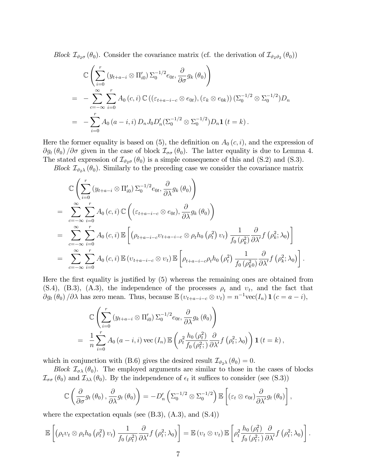Block  $\mathcal{I}_{\vartheta_{2}\sigma}(\theta_0)$ . Consider the covariance matrix (cf. the derivation of  $\mathcal{I}_{\vartheta_{2}\vartheta_{2}}(\theta_0)$ )

$$
\mathbb{C}\left(\sum_{i=0}^{r} (y_{t+a-i} \otimes \Pi'_{i0}) \Sigma_{0}^{-1/2} e_{0t}, \frac{\partial}{\partial \sigma} g_{k}(\theta_{0})\right)
$$
\n
$$
= -\sum_{c=-\infty}^{\infty} \sum_{i=0}^{r} A_{0}(c, i) \mathbb{C} \left((\varepsilon_{t+a-i-c} \otimes e_{0t}), (\varepsilon_{k} \otimes e_{0k})\right) (\Sigma_{0}^{-1/2} \otimes \Sigma_{0}^{-1/2}) D_{n}
$$
\n
$$
= -\sum_{i=0}^{r} A_{0}(a-i, i) D_{n} J_{0} D'_{n} (\Sigma_{0}^{-1/2} \otimes \Sigma_{0}^{-1/2}) D_{n} \mathbf{1} (t = k).
$$

Here the former equality is based on  $(5)$ , the definition on  $A_0(c, i)$ , and the expression of  $\partial g_t (\theta_0) / \partial \sigma$  given in the case of block  $\mathcal{I}_{\sigma\sigma} (\theta_0)$ . The latter equality is due to Lemma 4. The stated expression of  $\mathcal{I}_{\vartheta_{2}\sigma}(\theta_0)$  is a simple consequence of this and (S.2) and (S.3).

Block  $\mathcal{I}_{\vartheta_2\lambda}(\theta_0)$ . Similarly to the preceding case we consider the covariance matrix

$$
\mathbb{C}\left(\sum_{i=0}^{r}\left(y_{t+a-i}\otimes\Pi'_{i0}\right)\Sigma_{0}^{-1/2}e_{0t},\frac{\partial}{\partial\lambda}g_{k}\left(\theta_{0}\right)\right)
$$
\n
$$
=\sum_{c=-\infty}^{\infty}\sum_{i=0}^{r}A_{0}\left(c,i\right)\mathbb{C}\left(\left(\varepsilon_{t+a-i-c}\otimes e_{0t}\right),\frac{\partial}{\partial\lambda}g_{k}\left(\theta_{0}\right)\right)
$$
\n
$$
=\sum_{c=-\infty}^{\infty}\sum_{i=0}^{r}A_{0}\left(c,i\right)\mathbb{E}\left[\left(\rho_{t+a-i-c}v_{t+a-i-c}\otimes\rho_{t}h_{0}\left(\rho_{t}^{2}\right)v_{t}\right)\frac{1}{f_{0}\left(\rho_{k}^{2}\right)}\frac{\partial}{\partial\lambda'}f\left(\rho_{k}^{2};\lambda_{0}\right)\right]
$$
\n
$$
=\sum_{c=-\infty}^{\infty}\sum_{i=0}^{r}A_{0}\left(c,i\right)\mathbb{E}\left(v_{t+a-i-c}\otimes v_{t}\right)\mathbb{E}\left[\rho_{t+a-i-c}\rho_{t}h_{0}\left(\rho_{t}^{2}\right)\frac{1}{f_{0}\left(\rho_{k}^{2}\right)}\frac{\partial}{\partial\lambda'}f\left(\rho_{k}^{2};\lambda_{0}\right)\right].
$$

Here the first equality is justified by  $(5)$  whereas the remaining ones are obtained from  $(S.4)$ ,  $(B.3)$ ,  $(A.3)$ , the independence of the processes  $\rho_t$  and  $v_t$ , and the fact that  $\partial g_t(\theta_0) / \partial \lambda$  has zero mean. Thus, because  $\mathbb{E}\left(v_{t+a-i-c} \otimes v_t\right) = n^{-1} \text{vec}(I_n) \mathbf{1}$   $(c = a - i)$ ,

$$
\mathbb{C}\left(\sum_{i=0}^{r} \left(y_{t+a-i} \otimes \Pi'_{i0}\right) \Sigma_{0}^{-1/2} e_{0t}, \frac{\partial}{\partial \lambda} g_{k}\left(\theta_{0}\right)\right)
$$
\n
$$
= \frac{1}{n} \sum_{i=0}^{r} A_{0}\left(a-i, i\right) \text{vec}\left(I_{n}\right) \mathbb{E}\left(\rho_{t}^{2} \frac{h_{0}\left(\rho_{t}^{2}\right)}{f_{0}\left(\rho_{t}^{2}\right)} \frac{\partial}{\partial \lambda'} f\left(\rho_{t}^{2}; \lambda_{0}\right)\right) \mathbf{1}\left(t=k\right),
$$

which in conjunction with (B.6) gives the desired result  $\mathcal{I}_{\vartheta_2\lambda}(\theta_0) = 0$ .

Block  $\mathcal{I}_{\sigma\lambda}(\theta_0)$ . The employed arguments are similar to those in the cases of blocks  $\mathcal{I}_{\sigma\sigma}(\theta_0)$  and  $\mathcal{I}_{\lambda\lambda}(\theta_0)$ . By the independence of  $\epsilon_t$  it suffices to consider (see (S.3))

$$
\mathbb{C}\left(\frac{\partial}{\partial \sigma}g_t\left(\theta_0\right),\frac{\partial}{\partial \lambda}g_t\left(\theta_0\right)\right)=-D'_n\left(\Sigma_0^{-1/2}\otimes \Sigma_0^{-1/2}\right)\mathbb{E}\left[\left(\varepsilon_t\otimes e_{0t}\right)\frac{\partial}{\partial \lambda'}g_t\left(\theta_0\right)\right],
$$

where the expectation equals (see  $(B.3)$ ,  $(A.3)$ , and  $(S.4)$ )

$$
\mathbb{E}\left[\left(\rho_t v_t \otimes \rho_t h_0\left(\rho_t^2\right) v_t\right) \frac{1}{f_0\left(\rho_t^2\right)} \frac{\partial}{\partial \lambda'} f\left(\rho_t^2; \lambda_0\right)\right] = \mathbb{E}\left(v_t \otimes v_t\right) \mathbb{E}\left[\rho_t^2 \frac{h_0\left(\rho_t^2\right)}{f_0\left(\rho_t^2\right)} \frac{\partial}{\partial \lambda'} f\left(\rho_t^2; \lambda_0\right)\right].
$$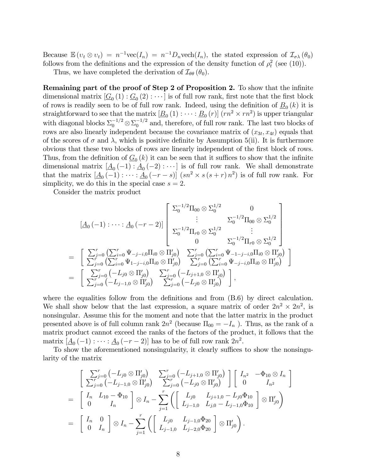Because  $\mathbb{E}(v_t \otimes v_t) = n^{-1} \text{vec}(I_n) = n^{-1} D_n \text{vech}(I_n)$ , the stated expression of  $\mathcal{I}_{\sigma \lambda}(\theta_0)$ follows from the definitions and the expression of the density function of  $\rho_t^2$  (see (10)).

Thus, we have completed the derivation of  $\mathcal{I}_{\theta\theta}(\theta_0)$ .

Remaining part of the proof of Step 2 of Proposition 2. To show that the infinite dimensional matrix  $[G_0(1) : G_0(2) : \cdots]$  is of full row rank, first note that the first block of rows is readily seen to be of full row rank. Indeed, using the definition of  $\underline{B}_0(k)$  it is straightforward to see that the matrix  $[\underline{B}_0(1) : \cdots : \underline{B}_0(r)]$   $(rn^2 \times rn^2)$  is upper triangular with diagonal blocks  $\Sigma_0^{-1/2} \otimes \Sigma_0^{-1/2}$  and, therefore, of full row rank. The last two blocks of rows are also linearly independent because the covariance matrix of  $(x_{3t}, x_{4t})$  equals that of the scores of  $\sigma$  and  $\lambda$ , which is positive definite by Assumption 5(ii). It is furthermore obvious that these two blocks of rows are linearly independent of the first block of rows. Thus, from the definition of  $\underline{G}_0(k)$  it can be seen that it suffices to show that the infinite dimensional matrix  $[\underline{A}_0(-1):\underline{A}_0(-2):\cdots]$  is of full row rank. We shall demonstrate that the matrix  $[\underline{A}_0(-1) : \cdots : \underline{A}_0(-r-s)]$   $(sn^2 \times s(s+r)n^2)$  is of full row rank. For simplicity, we do this in the special case  $s = 2$ .

Consider the matrix product

$$
[A_0 (-1) : \cdots : A_0 (-r-2)] \begin{bmatrix} \Sigma_0^{-1/2} \Pi_{00} \otimes \Sigma_0^{1/2} & 0 \\ \vdots & \Sigma_0^{-1/2} \Pi_{00} \otimes \Sigma_0^{1/2} \\ \Sigma_0^{-1/2} \Pi_{r0} \otimes \Sigma_0^{1/2} & \vdots \\ 0 & \Sigma_0^{-1/2} \Pi_{r0} \otimes \Sigma_0^{1/2} \end{bmatrix}
$$
  
\n
$$
= \begin{bmatrix} \sum_{j=0}^r (\sum_{i=0}^r \Psi_{-j-i,0} \Pi_{i0} \otimes \Pi'_{j0}) & \sum_{j=0}^r (\sum_{i=0}^r \Psi_{-1-j-i,0} \Pi_{i0} \otimes \Pi'_{j0}) \\ \sum_{j=0}^r (\sum_{i=0}^r \Psi_{-j-i,0} \Pi_{i0} \otimes \Pi'_{j0}) & \sum_{j=0}^r (\sum_{i=0}^r \Psi_{-j-i,0} \Pi_{i0} \otimes \Pi'_{j0}) \end{bmatrix}
$$
  
\n
$$
= \begin{bmatrix} \sum_{j=0}^r (-L_{j0} \otimes \Pi'_{j0}) & \sum_{j=0}^r (-L_{j+1,0} \otimes \Pi'_{j0}) \\ \sum_{j=0}^r (-L_{j-1,0} \otimes \Pi'_{j0}) & \sum_{j=0}^r (-L_{j0} \otimes \Pi'_{j0}) \end{bmatrix},
$$

where the equalities follow from the definitions and from  $(B.6)$  by direct calculation. We shall show below that the last expression, a square matrix of order  $2n^2 \times 2n^2$ , is nonsingular. Assume this for the moment and note that the latter matrix in the product presented above is of full column rank  $2n^2$  (because  $\Pi_{00} = -I_n$ ). Thus, as the rank of a matrix product cannot exceed the ranks of the factors of the product, it follows that the matrix  $[\underline{A}_0(-1) : \cdots : \underline{A}_0(-r-2)]$  has to be of full row rank  $2n^2$ .

To show the aforementioned nonsingularity, it clearly suffices to show the nonsingularity of the matrix

$$
\begin{aligned}\n&= \begin{bmatrix}\n\sum_{j=0}^{r} \left( -L_{j0} \otimes \Pi'_{j0} \right) & \sum_{j=0}^{r} \left( -L_{j+1,0} \otimes \Pi'_{j0} \right) \\
\sum_{j=0}^{r} \left( -L_{j-1,0} \otimes \Pi'_{j0} \right) & \sum_{j=0}^{r} \left( -L_{j0} \otimes \Pi'_{j0} \right) \\
\end{bmatrix} \begin{bmatrix}\nI_{n^2} & -\Phi_{10} \otimes I_n \\
0 & I_{n^2}\n\end{bmatrix} \\
&= \begin{bmatrix}\nI_n & L_{10} - \Phi_{10} \\
0 & I_n\n\end{bmatrix} \otimes I_n - \sum_{j=1}^{r} \left( \begin{bmatrix}\nL_{j0} & L_{j+1,0} - L_{j0} \Phi_{10} \\
L_{j-1,0} & L_{j,0} - L_{j-1,0} \Phi_{10}\n\end{bmatrix} \otimes \Pi'_{j0} \right) \\
&= \begin{bmatrix}\nI_n & 0 \\
0 & I_n\n\end{bmatrix} \otimes I_n - \sum_{j=1}^{r} \left( \begin{bmatrix}\nL_{j0} & L_{j-1,0} \Phi_{20} \\
L_{j-1,0} & L_{j-2,0} \Phi_{20}\n\end{bmatrix} \otimes \Pi'_{j0} \right).\n\end{aligned}
$$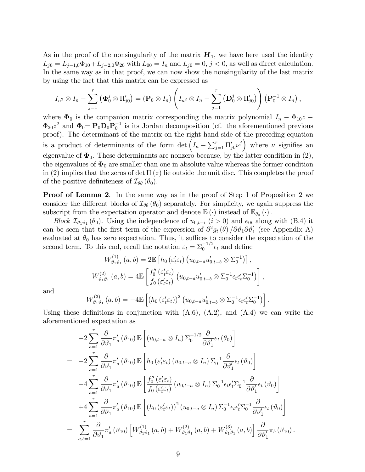As in the proof of the nonsingularity of the matrix  $H_1$ , we have here used the identity  $L_{j0} = L_{j-1,0}\Phi_{10} + L_{j-2,0}\Phi_{20}$  with  $L_{00} = I_n$  and  $L_{j0} = 0, j < 0$ , as well as direct calculation. In the same way as in that proof, we can now show the nonsingularity of the last matrix by using the fact that this matrix can be expressed as

$$
I_{n^2} \otimes I_n - \sum_{j=1}^r \left( \Phi_0^j \otimes \Pi_{j0}' \right) = (\mathbf{P}_0 \otimes I_n) \left( I_{n^2} \otimes I_n - \sum_{j=1}^r \left( \mathbf{D}_0^j \otimes \Pi_{j0}' \right) \right) \left( \mathbf{P}_0^{-1} \otimes I_n \right),
$$

where  $\Phi_0$  is the companion matrix corresponding the matrix polynomial  $I_n - \Phi_{10}z$  $\Phi_{20}z^2$  and  $\Phi_0 = \mathbf{P}_0 \mathbf{D}_0 \mathbf{P}_0^{-1}$  is its Jordan decomposition (cf. the aforementioned previous proof). The determinant of the matrix on the right hand side of the preceding equation is a product of determinants of the form  $\det \left(I_n - \sum_{j=1}^r \Pi_{j0}' \nu^j\right)$  where  $\nu$  signifies an eigenvalue of  $\Phi_0$ . These determinants are nonzero because, by the latter condition in (2), the eigenvalues of  $\Phi_0$  are smaller than one in absolute value whereas the former condition in (2) implies that the zeros of det  $\Pi(z)$  lie outside the unit disc. This completes the proof of the positive definiteness of  $\mathcal{I}_{\theta\theta}(\theta_0)$ .

**Proof of Lemma 2.** In the same way as in the proof of Step 1 of Proposition 2 we consider the different blocks of  $\mathcal{I}_{\theta\theta}(\theta_0)$  separately. For simplicity, we again suppress the subscript from the expectation operator and denote  $\mathbb{E}(\cdot)$  instead of  $\mathbb{E}_{\theta_0}(\cdot)$ .

Block  $\mathcal{I}_{\vartheta_1\vartheta_1}(\theta_0)$ . Using the independence of  $u_{0,t-i}$   $(i > 0)$  and  $e_{0t}$  along with (B.4) it can be seen that the first term of the expression of  $\partial^2 g_t(\theta) / \partial \vartheta_1 \partial \vartheta_1'$  (see Appendix A) evaluated at  $\theta_0$  has zero expectation. Thus, it suffices to consider the expectation of the second term. To this end, recall the notation  $\varepsilon_t = \sum_0^{-1/2} \epsilon_t$  and define

$$
W_{\vartheta_1\vartheta_1}^{(1)}(a,b) = 2\mathbb{E}\left[h_0\left(\varepsilon'_t\varepsilon_t\right)\left(u_{0,t-a}u'_{0,t-b}\otimes\Sigma_0^{-1}\right)\right],
$$
  

$$
W_{\vartheta_1\vartheta_1}^{(2)}(a,b) = 4\mathbb{E}\left[\frac{f_0''\left(\varepsilon'_t\varepsilon_t\right)}{f_0\left(\varepsilon'_t\varepsilon_t\right)}\left(u_{0,t-a}u'_{0,t-b}\otimes\Sigma_0^{-1}\epsilon_t\epsilon'_t\Sigma_0^{-1}\right)\right],
$$

and

$$
W_{\vartheta_1\vartheta_1}^{(3)}(a,b) = -4\mathbb{E}\left[\left(h_0\left(\varepsilon_t'\varepsilon_t\right)\right)^2\left(u_{0,t-a}u_{0,t-b}'\otimes\Sigma_0^{-1}\varepsilon_t\epsilon_t'\Sigma_0^{-1}\right)\right].
$$

Using these definitions in conjunction with  $(A.6)$ ,  $(A.2)$ , and  $(A.4)$  we can write the aforementioned expectation as

$$
-2\sum_{a=1}^{r} \frac{\partial}{\partial \vartheta_{1}} \pi'_{a}(\vartheta_{10}) \mathbb{E}\left[ (u_{0,t-a} \otimes I_{n}) \Sigma_{0}^{-1/2} \frac{\partial}{\partial \vartheta'_{1}} e_{t}(\theta_{0}) \right]
$$
  
\n
$$
= -2\sum_{a=1}^{r} \frac{\partial}{\partial \vartheta_{1}} \pi'_{a}(\vartheta_{10}) \mathbb{E}\left[ h_{0}(\varepsilon'_{t}\varepsilon_{t}) (u_{0,t-a} \otimes I_{n}) \Sigma_{0}^{-1} \frac{\partial}{\partial \vartheta'_{1}} \varepsilon_{t}(\vartheta_{0}) \right]
$$
  
\n
$$
-4\sum_{a=1}^{r} \frac{\partial}{\partial \vartheta_{1}} \pi'_{a}(\vartheta_{10}) \mathbb{E}\left[ \frac{f_{0}^{"}(\varepsilon'_{t}\varepsilon_{t})}{f_{0}(\varepsilon'_{t}\varepsilon_{t})} (u_{0,t-a} \otimes I_{n}) \Sigma_{0}^{-1} \varepsilon_{t} \varepsilon'_{t} \Sigma_{0}^{-1} \frac{\partial}{\partial \vartheta'_{1}} \varepsilon_{t}(\vartheta_{0}) \right]
$$
  
\n
$$
+4\sum_{a=1}^{r} \frac{\partial}{\partial \vartheta_{1}} \pi'_{a}(\vartheta_{10}) \mathbb{E}\left[ (h_{0}(\varepsilon'_{t}\varepsilon_{t}))^{2} (u_{0,t-a} \otimes I_{n}) \Sigma_{0}^{-1} \varepsilon_{t} \varepsilon'_{t} \Sigma_{0}^{-1} \frac{\partial}{\partial \vartheta'_{1}} \varepsilon_{t}(\vartheta_{0}) \right]
$$
  
\n
$$
= \sum_{a,b=1}^{r} \frac{\partial}{\partial \vartheta_{1}} \pi'_{a}(\vartheta_{10}) \left[ W_{\vartheta_{1}\vartheta_{1}}^{(1)} (a,b) + W_{\vartheta_{1}\vartheta_{1}}^{(2)} (a,b) + W_{\vartheta_{1}\vartheta_{1}}^{(3)} (a,b) \right] \frac{\partial}{\partial \vartheta'_{1}} \pi_{b}(\vartheta_{10}).
$$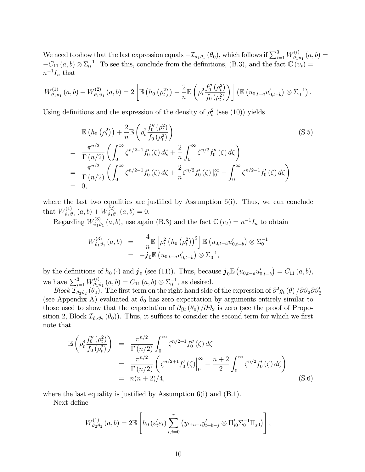We need to show that the last expression equals  $-\mathcal{I}_{\vartheta_1\vartheta_1}(\theta_0)$ , which follows if  $\sum_{i=1}^3 W_{\vartheta_1}^{(i)}$  $\sigma_{\vartheta_1\vartheta_1}^{(i)}(a,b)=$  $-C_{11}(a, b) \otimes \Sigma_0^{-1}$ . To see this, conclude from the definitions, (B.3), and the fact  $\mathbb{C}(v_t)$  =  $n^{-1}I_n$  that

$$
W_{\vartheta_1\vartheta_1}^{(1)}(a,b) + W_{\vartheta_1\vartheta_1}^{(2)}(a,b) = 2 \left[ \mathbb{E} \left( h_0 \left( \rho_t^2 \right) \right) + \frac{2}{n} \mathbb{E} \left( \rho_t^2 \frac{f_0''(\rho_t^2)}{f_0(\rho_t^2)} \right) \right] \left( \mathbb{E} \left( u_{0,t-a} u'_{0,t-b} \right) \otimes \Sigma_0^{-1} \right).
$$

Using definitions and the expression of the density of  $\rho_t^2$  (see (10)) yields

$$
\mathbb{E}\left(h_0(\rho_t^2)\right) + \frac{2}{n} \mathbb{E}\left(\rho_t^2 \frac{f_0''(\rho_t^2)}{f_0(\rho_t^2)}\right)
$$
\n
$$
= \frac{\pi^{n/2}}{\Gamma(n/2)} \left(\int_0^\infty \zeta^{n/2-1} f_0'(\zeta) d\zeta + \frac{2}{n} \int_0^\infty \zeta^{n/2} f_0''(\zeta) d\zeta\right)
$$
\n
$$
= \frac{\pi^{n/2}}{\Gamma(n/2)} \left(\int_0^\infty \zeta^{n/2-1} f_0'(\zeta) d\zeta + \frac{2}{n} \zeta^{n/2} f_0'(\zeta) \Big|_0^\infty - \int_0^\infty \zeta^{n/2-1} f_0'(\zeta) d\zeta\right)
$$
\n
$$
= 0,
$$
\n(S.5)

where the last two equalities are justified by Assumption  $6(i)$ . Thus, we can conclude that  $W_{\vartheta_1\vartheta_2}^{(1)}$  $W^{(1)}_{\vartheta_1\vartheta_1}\left(a,b\right)+W^{(2)}_{\vartheta_1\vartheta_2}$  $\chi^{(2)}_{\vartheta_1\vartheta_1}(a,b)=0.$ 

Regarding  $W_{\vartheta_1}^{(3)}$  $t_{\vartheta_1\vartheta_1}^{(3)}(a,b)$ , use again (B.3) and the fact  $\mathbb{C}(v_t) = n^{-1}I_n$  to obtain

$$
W_{\vartheta_1\vartheta_1}^{(3)}(a,b) = -\frac{4}{n} \mathbb{E} \left[ \rho_t^2 \left( h_0 \left( \rho_t^2 \right) \right)^2 \right] \mathbb{E} \left( u_{0,t-a} u'_{0,t-b} \right) \otimes \Sigma_0^{-1}
$$
  
=  $-\mathbf{j}_0 \mathbb{E} \left( u_{0,t-a} u'_{0,t-b} \right) \otimes \Sigma_0^{-1},$ 

by the definitions of  $h_0(\cdot)$  and  $\mathbf{j}_0$  (see (11)). Thus, because  $\mathbf{j}_0 \mathbb{E} (u_{0,t-a} u'_{0,t-b}) = C_{11} (a, b),$ we have  $\sum_{i=1}^{3} W_{\vartheta_{1}i}^{(i)}$  $C_{\theta_1\theta_1}^{(i)}(a,b) = C_{11}(a,b) \otimes \Sigma_0^{-1}$ , as desired.

Block  $\mathcal{I}_{\vartheta_2\vartheta_2}(\theta_0)$ . The first term on the right hand side of the expression of  $\partial^2 g_t(\theta)/\partial \vartheta_2 \partial \vartheta_2'$ (see Appendix A) evaluated at  $\theta_0$  has zero expectation by arguments entirely similar to those used to show that the expectation of  $\partial g_t(\theta_0)/\partial \theta_2$  is zero (see the proof of Proposition 2, Block  $\mathcal{I}_{\vartheta_2\vartheta_2}(\theta_0)$ . Thus, it suffices to consider the second term for which we first note that

$$
\mathbb{E}\left(\rho_t^4 \frac{f_0''(\rho_t^2)}{f_0(\rho_t^2)}\right) = \frac{\pi^{n/2}}{\Gamma(n/2)} \int_0^\infty \zeta^{n/2+1} f_0''(\zeta) d\zeta \n= \frac{\pi^{n/2}}{\Gamma(n/2)} \left(\zeta^{n/2+1} f_0'(\zeta)\right|_0^\infty - \frac{n+2}{2} \int_0^\infty \zeta^{n/2} f_0'(\zeta) d\zeta \n= n(n+2)/4,
$$
\n(S.6)

where the last equality is justified by Assumption  $6(i)$  and  $(B.1)$ .

Next define

$$
W_{\vartheta_2\vartheta_2}^{(1)}(a,b) = 2\mathbb{E}\left[h_0(\varepsilon_t'\varepsilon_t)\sum_{i,j=0}^r (y_{t+a-i}y_{t+b-j}'\otimes \Pi_{i0}'\Sigma_0^{-1}\Pi_{j0})\right],
$$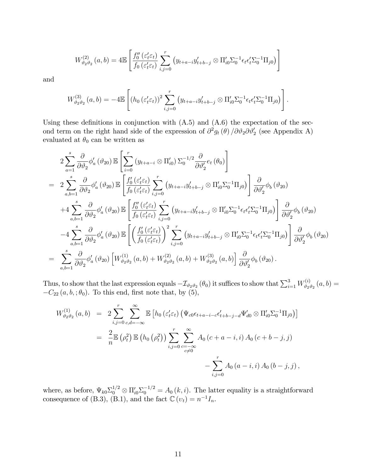$$
W_{\vartheta_2\vartheta_2}^{(2)}(a,b) = 4\mathbb{E}\left[\frac{f_0''(\varepsilon_t'\varepsilon_t)}{f_0(\varepsilon_t'\varepsilon_t)}\sum_{i,j=0}^r (y_{t+a-i}y_{t+b-j}' \otimes \Pi_{i0}'\Sigma_0^{-1}\varepsilon_t\varepsilon_t'\Sigma_0^{-1}\Pi_{j0})\right]
$$

and

$$
W_{\vartheta_2\vartheta_2}^{(3)}(a,b) = -4\mathbb{E}\left[ \left( h_0 \left( \varepsilon'_t \varepsilon_t \right) \right)^2 \sum_{i,j=0}^r \left( y_{t+a-i} y'_{t+b-j} \otimes \Pi'_{i0} \Sigma_0^{-1} \epsilon_t \epsilon'_t \Sigma_0^{-1} \Pi_{j0} \right) \right].
$$

Using these definitions in conjunction with  $(A.5)$  and  $(A.6)$  the expectation of the second term on the right hand side of the expression of  $\partial^2 g_t(\theta) / \partial \vartheta_2 \partial \vartheta_2'$  (see Appendix A) evaluated at  $\theta_0$  can be written as

$$
2\sum_{a=1}^{s} \frac{\partial}{\partial \theta_{2}} \phi_{a}'(\theta_{20}) \mathbb{E}\left[\sum_{i=0}^{r} (y_{t+a-i} \otimes \Pi'_{i0}) \Sigma_{0}^{-1/2} \frac{\partial}{\partial \theta_{2}'} e_{t}(\theta_{0})\right]
$$
  
\n
$$
= 2\sum_{a,b=1}^{s} \frac{\partial}{\partial \theta_{2}} \phi_{a}'(\theta_{20}) \mathbb{E}\left[\frac{f_{0}'(\varepsilon'_{t}\varepsilon_{t})}{f_{0}(\varepsilon'_{t}\varepsilon_{t})} \sum_{i,j=0}^{r} (y_{t+a-i} y'_{t+b-j} \otimes \Pi'_{i0} \Sigma_{0}^{-1} \Pi_{j0})\right] \frac{\partial}{\partial \theta_{2}'} \phi_{b}(\theta_{20})
$$
  
\n
$$
+4\sum_{a,b=1}^{s} \frac{\partial}{\partial \theta_{2}} \phi_{a}'(\theta_{20}) \mathbb{E}\left[\frac{f_{0}''(\varepsilon'_{t}\varepsilon_{t})}{f_{0}(\varepsilon'_{t}\varepsilon_{t})} \sum_{i,j=0}^{r} (y_{t+a-i} y'_{t+b-j} \otimes \Pi'_{i0} \Sigma_{0}^{-1} \varepsilon_{t} \varepsilon'_{t} \Sigma_{0}^{-1} \Pi_{j0})\right] \frac{\partial}{\partial \theta_{2}'} \phi_{b}(\theta_{20})
$$
  
\n
$$
-4\sum_{a,b=1}^{s} \frac{\partial}{\partial \theta_{2}} \phi_{a}'(\theta_{20}) \mathbb{E}\left[\left(\frac{f_{0}'(\varepsilon'_{t}\varepsilon_{t})}{f_{0}(\varepsilon'_{t}\varepsilon_{t})}\right)^{2} \sum_{i,j=0}^{r} (y_{t+a-i} y'_{t+b-j} \otimes \Pi'_{i0} \Sigma_{0}^{-1} \varepsilon_{t} \varepsilon'_{t} \Sigma_{0}^{-1} \Pi_{j0})\right] \frac{\partial}{\partial \theta_{2}'} \phi_{b}(\theta_{20})
$$
  
\n
$$
= \sum_{a,b=1}^{s} \frac{\partial}{\partial \theta_{2}} \phi'_{a}(\theta_{20}) \left[W_{\theta_{2}\theta_{2}}^{(1)}(a,b) + W_{\theta_{2}\theta_{2}}^{(2)}(
$$

Thus, to show that the last expression equals  $-\mathcal{I}_{\vartheta_2\vartheta_2}(\theta_0)$  it suffices to show that  $\sum_{i=1}^3 W_{\vartheta_2}^{(i)}$  $\begin{array}{c} \partial^{\alpha} \partial_{2} \partial_{2} \left( a,b \right) = \end{array}$  $-C_{22}(a, b,; \theta_0)$ . To this end, first note that, by (5),

$$
W_{\vartheta_2\vartheta_2}^{(1)}(a,b) = 2 \sum_{i,j=0}^r \sum_{c,d=-\infty}^{\infty} \mathbb{E} \left[ h_0 \left( \varepsilon'_t \varepsilon_t \right) \left( \Psi_{c0} \epsilon_{t+a-i-c} \epsilon'_{t+b-j-d} \Psi'_{d0} \otimes \Pi'_{i0} \Sigma_0^{-1} \Pi_{j0} \right) \right]
$$
  

$$
= \frac{2}{n} \mathbb{E} \left( \rho_t^2 \right) \mathbb{E} \left( h_0 \left( \rho_t^2 \right) \right) \sum_{i,j=0}^r \sum_{\substack{c=-\infty \\ c \neq 0}}^{\infty} A_0 \left( c+a-i, i \right) A_0 \left( c+b-j, j \right)
$$

$$
- \sum_{i,j=0}^r A_0 \left( a-i, i \right) A_0 \left( b-j, j \right),
$$

where, as before,  $\Psi_{k0} \Sigma_0^{1/2} \otimes \Pi_{i0}' \Sigma_0^{-1/2} = A_0(k, i)$ . The latter equality is a straightforward consequence of (B.3), (B.1), and the fact  $\mathbb{C}(v_t) = n^{-1}I_n$ .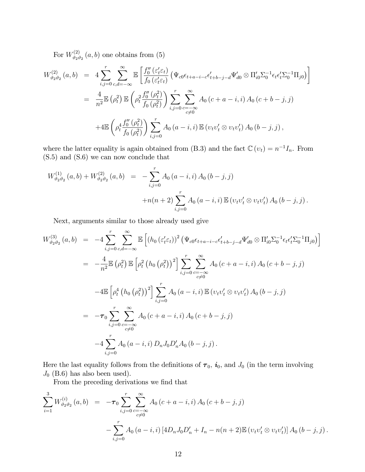For  $W_{\vartheta_2}^{(2)}$  $\int_{\vartheta_2 \vartheta_2}^{(2)} (a, b)$  one obtains from  $(5)$ 

$$
W_{\vartheta_{2}\vartheta_{2}}^{(2)}(a,b) = 4 \sum_{i,j=0}^{r} \sum_{c,d=-\infty}^{\infty} \mathbb{E} \left[ \frac{f_{0}''(\varepsilon_{t}^{\prime} \varepsilon_{t})}{f_{0}(\varepsilon_{t}^{\prime} \varepsilon_{t})} \left( \Psi_{c0} \epsilon_{t+a-i-c} \epsilon_{t+b-j-d}^{\prime} \Psi_{d0}^{\prime} \otimes \Pi_{i0}^{\prime} \Sigma_{0}^{-1} \epsilon_{t} \epsilon_{t}^{\prime} \Sigma_{0}^{-1} \Pi_{j0} \right) \right]
$$
  
\n
$$
= \frac{4}{n^{2}} \mathbb{E} \left( \rho_{t}^{2} \right) \mathbb{E} \left( \rho_{t}^{2} \frac{f_{0}''(\rho_{t}^{2})}{f_{0}(\rho_{t}^{2})} \right) \sum_{i,j=0}^{r} \sum_{c=-\infty}^{\infty} A_{0} (c+a-i,i) A_{0} (c+b-j,j)
$$
  
\n
$$
+ 4 \mathbb{E} \left( \rho_{t}^{4} \frac{f_{0}''(\rho_{t}^{2})}{f_{0}(\rho_{t}^{2})} \right) \sum_{i,j=0}^{r} A_{0} (a-i,i) \mathbb{E} \left( v_{t} v_{t}^{\prime} \otimes v_{t} v_{t}^{\prime} \right) A_{0} (b-j,j),
$$

where the latter equality is again obtained from (B.3) and the fact  $\mathbb{C}(v_t) = n^{-1}I_n$ . From (S.5) and (S.6) we can now conclude that

$$
W_{\vartheta_2\vartheta_2}^{(1)}(a,b) + W_{\vartheta_2\vartheta_2}^{(2)}(a,b) = -\sum_{i,j=0}^r A_0(a-i,i) A_0(b-j,j)
$$
  
+
$$
+n(n+2) \sum_{i,j=0}^r A_0(a-i,i) \mathbb{E}(v_t v_t' \otimes v_t v_t') A_0(b-j,j).
$$

Next, arguments similar to those already used give

$$
W_{\vartheta_{2}\vartheta_{2}}^{(3)}(a,b) = -4\sum_{i,j=0}^{r} \sum_{c,d=-\infty}^{\infty} \mathbb{E}\left[\left(h_{0}\left(\varepsilon_{t}^{\prime}\varepsilon_{t}\right)\right)^{2}\left(\Psi_{c0}\varepsilon_{t+a-i-c}\varepsilon_{t+b-j-d}^{\prime}\Psi_{d0}^{\prime}\otimes\Pi_{i0}^{\prime}\Sigma_{0}^{-1}\varepsilon_{t}\varepsilon_{t}^{\prime}\Sigma_{0}^{-1}\Pi_{j0}\right)\right]
$$
  
\n
$$
= -\frac{4}{n^{2}}\mathbb{E}\left(\rho_{t}^{2}\right)\mathbb{E}\left[\rho_{t}^{2}\left(h_{0}\left(\rho_{t}^{2}\right)\right)^{2}\right]\sum_{i,j=0}^{r} \sum_{c=-\infty}^{\infty} A_{0}\left(c+a-i,i\right)A_{0}\left(c+b-j,j\right)
$$
  
\n
$$
-4\mathbb{E}\left[\rho_{t}^{4}\left(h_{0}\left(\rho_{t}^{2}\right)\right)^{2}\right]\sum_{i,j=0}^{r} A_{0}\left(a-i,i\right)\mathbb{E}\left(v_{t}v_{t}^{\prime}\otimes v_{t}v_{t}^{\prime}\right)A_{0}\left(b-j,j\right)
$$
  
\n
$$
= -\tau_{0}\sum_{i,j=0}^{r} \sum_{c=-\infty}^{\infty} A_{0}\left(c+a-i,i\right)A_{0}\left(c+b-j,j\right)
$$
  
\n
$$
-4\sum_{i,j=0}^{r} A_{0}\left(a-i,i\right)D_{n}J_{0}D_{n}^{\prime}A_{0}\left(b-j,j\right).
$$

Here the last equality follows from the definitions of  $\tau_0$ ,  $i_0$ , and  $J_0$  (in the term involving  $J_0$  (B.6) has also been used).

From the preceding derivations we find that

$$
\sum_{i=1}^{3} W_{\vartheta_2 \vartheta_2}^{(i)}(a, b) = -\tau_0 \sum_{i,j=0}^{r} \sum_{\substack{c=-\infty \\ c \neq 0}}^{\infty} A_0 (c + a - i, i) A_0 (c + b - j, j)
$$

$$
- \sum_{i,j=0}^{r} A_0 (a - i, i) [4D_n J_0 D'_n + I_n - n(n+2) \mathbb{E} (v_t v'_t \otimes v_t v'_t)] A_0 (b - j, j).
$$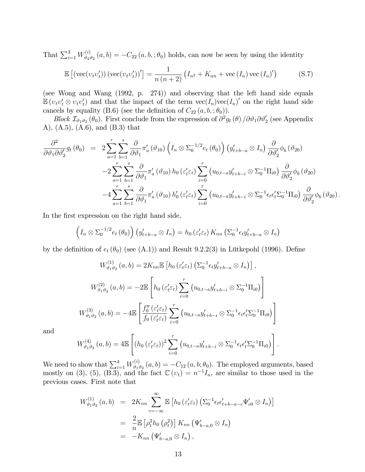That  $\sum_{i=1}^3 W_{\vartheta_{2i}}^{(i)}$  $C_{\theta_2\theta_2}^{(i)}(a,b) = -C_{22}(a,b,;\theta_0)$  holds, can now be seen by using the identity

$$
\mathbb{E}\left[\left(\text{vec}(v_t v'_t)\right)\left(\text{vec}(v_t v'_t)\right)'\right] = \frac{1}{n\left(n+2\right)}\left(I_{n^2} + K_{nn} + \text{vec}\left(I_n\right)\text{vec}\left(I_n\right)'\right) \tag{S.7}
$$

(see Wong and Wang (1992, p. 274)) and observing that the left hand side equals  $\mathbb{E}(v_t v'_t \otimes v_t v'_t)$  and that the impact of the term  $\text{vec}(I_n)\text{vec}(I_n)$  on the right hand side cancels by equality (B.6) (see the definition of  $C_{22}(a, b, ; \theta_0)$ ).

Block  $\mathcal{I}_{\vartheta_1\vartheta_2}(\theta_0)$ . First conclude from the expression of  $\partial^2 g_t(\theta) / \partial \vartheta_1 \partial \vartheta_2'$  (see Appendix A), (A.5), (A.6), and (B.3) that

$$
\frac{\partial^2}{\partial \vartheta_1 \partial \vartheta_2'} g_t(\theta_0) = 2 \sum_{a=1}^r \sum_{b=1}^s \frac{\partial}{\partial \vartheta_1} \pi'_a(\vartheta_{10}) \left( I_n \otimes \Sigma_0^{-1/2} e_t(\theta_0) \right) \left( y'_{t+b-a} \otimes I_n \right) \frac{\partial}{\partial \vartheta_2'} \phi_b(\vartheta_{20}) \n-2 \sum_{a=1}^r \sum_{b=1}^s \frac{\partial}{\partial \vartheta_1} \pi'_a(\vartheta_{10}) h_0(\varepsilon'_t \varepsilon_t) \sum_{i=0}^r \left( u_{0,t-a} y'_{t+b-i} \otimes \Sigma_0^{-1} \Pi_{i0} \right) \frac{\partial}{\partial \vartheta_2'} \phi_b(\vartheta_{20}) \n-4 \sum_{a=1}^r \sum_{b=1}^s \frac{\partial}{\partial \vartheta_1} \pi'_a(\vartheta_{10}) h'_0(\varepsilon'_t \varepsilon_t) \sum_{i=0}^r \left( u_{0,t-a} y'_{t+b-i} \otimes \Sigma_0^{-1} \epsilon_t \epsilon'_t \Sigma_0^{-1} \Pi_{i0} \right) \frac{\partial}{\partial \vartheta_2'} \phi_b(\vartheta_{20}).
$$

In the first expression on the right hand side,

$$
\left(I_n \otimes \Sigma_0^{-1/2} e_t(\theta_0)\right) \left(y'_{t+b-a} \otimes I_n\right) = h_0\left(\varepsilon'_t \varepsilon_t\right) K_{nn} \left(\Sigma_0^{-1} \varepsilon_t y'_{t+b-a} \otimes I_n\right)
$$

by the definition of  $e_t(\theta_0)$  (see (A.1)) and Result 9.2.2(3) in Lütkepohl (1996). Define

$$
W_{\vartheta_1 \vartheta_2}^{(1)}(a, b) = 2K_{nn} \mathbb{E} \left[ h_0 \left( \varepsilon_t' \varepsilon_t \right) \left( \Sigma_0^{-1} \epsilon_t y_{t+b-a}' \otimes I_n \right) \right],
$$
  

$$
W_{\vartheta_1 \vartheta_2}^{(2)}(a, b) = -2 \mathbb{E} \left[ h_0 \left( \varepsilon_t' \varepsilon_t \right) \sum_{i=0}^r \left( u_{0,t-a} y_{t+b-i}' \otimes \Sigma_0^{-1} \Pi_{i0} \right) \right]
$$
  

$$
W_{\vartheta_1 \vartheta_2}^{(3)}(a, b) = -4 \mathbb{E} \left[ \frac{f_0'' \left( \varepsilon_t' \varepsilon_t \right)}{f_0 \left( \varepsilon_t' \varepsilon_t \right)} \sum_{i=0}^r \left( u_{0,t-a} y_{t+b-i}' \otimes \Sigma_0^{-1} \varepsilon_t \epsilon_t' \Sigma_0^{-1} \Pi_{i0} \right) \right]
$$

and

$$
W_{\vartheta_1\vartheta_2}^{(4)}(a,b) = 4\mathbb{E}\left[ \left( h_0 \left( \varepsilon'_t \varepsilon_t \right) \right)^2 \sum_{i=0}^r \left( u_{0,t-a} y'_{t+b-i} \otimes \Sigma_0^{-1} \epsilon_t \epsilon'_t \Sigma_0^{-1} \Pi_{i0} \right) \right].
$$

We need to show that  $\sum_{i=1}^4 W_{\vartheta_{1i}}^{(i)}$  $\psi_{\theta_1\theta_2}^{(i)}(a,b) = -C_{12}(a,b;\theta_0)$ . The employed arguments, based mostly on (3), (5), (B.3), and the fact  $\mathbb{C}(v_t) = n^{-1}I_n$ , are similar to those used in the previous cases. First note that

$$
W_{\vartheta_1\vartheta_2}^{(1)}(a,b) = 2K_{nn} \sum_{c=-\infty}^{\infty} \mathbb{E} \left[ h_0 \left( \varepsilon'_t \varepsilon_t \right) \left( \sum_0^{-1} \epsilon_t \epsilon'_{t+b-a-c} \Psi'_{c0} \otimes I_n \right) \right]
$$
  

$$
= \frac{2}{n} \mathbb{E} \left[ \rho_t^2 h_0 \left( \rho_t^2 \right) \right] K_{nn} \left( \Psi'_{b-a,0} \otimes I_n \right)
$$
  

$$
= -K_{nn} \left( \Psi'_{b-a,0} \otimes I_n \right),
$$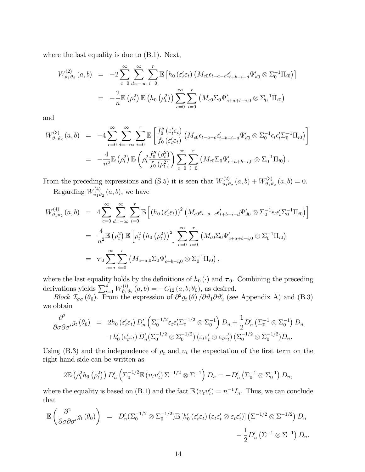where the last equality is due to (B.1). Next,

$$
W_{\vartheta_1\vartheta_2}^{(2)}(a,b) = -2 \sum_{c=0}^{\infty} \sum_{d=-\infty}^{\infty} \sum_{i=0}^{r} \mathbb{E} \left[ h_0 \left( \varepsilon'_t \varepsilon_t \right) \left( M_{c0} \epsilon_{t-a-c} \epsilon'_{t+b-i-d} \Psi'_{d0} \otimes \Sigma_0^{-1} \Pi_{i0} \right) \right]
$$
  

$$
= -\frac{2}{n} \mathbb{E} \left( \rho_t^2 \right) \mathbb{E} \left( h_0 \left( \rho_t^2 \right) \right) \sum_{c=0}^{\infty} \sum_{i=0}^{r} \left( M_{c0} \Sigma_0 \Psi'_{c+a+b-i,0} \otimes \Sigma_0^{-1} \Pi_{i0} \right)
$$

and

$$
W_{\vartheta_1 \vartheta_2}^{(3)}(a,b) = -4 \sum_{c=0}^{\infty} \sum_{d=-\infty}^{\infty} \sum_{i=0}^{r} \mathbb{E} \left[ \frac{f_0''(\varepsilon_t' \varepsilon_t)}{f_0(\varepsilon_t' \varepsilon_t)} \left( M_{c0} \epsilon_{t-a-c} \epsilon_{t+b-i-d}' \Psi_{d0}' \otimes \Sigma_0^{-1} \epsilon_t \epsilon_t' \Sigma_0^{-1} \Pi_{i0} \right) \right]
$$
  
= 
$$
- \frac{4}{n^2} \mathbb{E} \left( \rho_t^2 \right) \mathbb{E} \left( \rho_t^2 \frac{f_0''(\rho_t^2)}{f_0(\rho_t^2)} \right) \sum_{c=0}^{\infty} \sum_{i=0}^{r} \left( M_{c0} \Sigma_0 \Psi_{c+a+b-i,0}' \otimes \Sigma_0^{-1} \Pi_{i0} \right).
$$

From the preceding expressions and (S.5) it is seen that  $W_{\vartheta,\vartheta}^{(2)}$  $W^{(2)}_{\vartheta_1 \vartheta_2}\left(a, b\right) + W^{(3)}_{\vartheta_1 \vartheta_2}$  $\chi_{\vartheta_1 \vartheta_2}^{(3)}(a, b) = 0.$ 

Regarding  $W_{\vartheta_{1}i}^{(4)}$  $\int_{\vartheta_1\vartheta_2}^{(4)}(a,b),$  we have

$$
W_{\vartheta_1\vartheta_2}^{(4)}(a,b) = 4 \sum_{c=0}^{\infty} \sum_{d=-\infty}^{\infty} \sum_{i=0}^{r} \mathbb{E} \left[ \left( h_0 \left( \varepsilon'_t \varepsilon_t \right) \right)^2 \left( M_{c0} \epsilon_{t-a-c} \epsilon'_{t+b-i-d} \Psi'_{d0} \otimes \Sigma_0^{-1} \epsilon_t \epsilon'_t \Sigma_0^{-1} \Pi_{i0} \right) \right]
$$
  
\n
$$
= \frac{4}{n^2} \mathbb{E} \left( \rho_t^2 \right) \mathbb{E} \left[ \rho_t^2 \left( h_0 \left( \rho_t^2 \right) \right)^2 \right] \sum_{c=0}^{\infty} \sum_{i=0}^{r} \left( M_{c0} \Sigma_0 \Psi'_{c+a+b-i,0} \otimes \Sigma_0^{-1} \Pi_{i0} \right)
$$
  
\n
$$
= \tau_0 \sum_{c=a}^{\infty} \sum_{i=0}^{r} \left( M_{c-a,0} \Sigma_0 \Psi'_{c+b-i,0} \otimes \Sigma_0^{-1} \Pi_{i0} \right),
$$

where the last equality holds by the definitions of  $h_0(\cdot)$  and  $\tau_0$ . Combining the preceding derivations yields  $\sum_{i=1}^{4} W_{\vartheta_{1}i}^{(i)}$  $e_{\theta_1 \theta_2}^{(i)}(a, b) = -C_{12}(a, b; \theta_0),$  as desired.

Block  $\mathcal{I}_{\sigma\sigma}(\theta_0)$ . From the expression of  $\partial^2 g_t(\theta) / \partial \vartheta_1 \partial \vartheta_2'$  (see Appendix A) and (B.3) we obtain

$$
\frac{\partial^2}{\partial \sigma \partial \sigma'} g_t (\theta_0) = 2h_0 (\varepsilon'_t \varepsilon_t) D'_n \left( \Sigma_0^{-1/2} \varepsilon_t \varepsilon'_t \Sigma_0^{-1/2} \otimes \Sigma_0^{-1} \right) D_n + \frac{1}{2} D'_n \left( \Sigma_0^{-1} \otimes \Sigma_0^{-1} \right) D_n \n+ h'_0 (\varepsilon'_t \varepsilon_t) D'_n (\Sigma_0^{-1/2} \otimes \Sigma_0^{-1/2}) (\varepsilon_t \varepsilon'_t \otimes \varepsilon_t \varepsilon'_t) (\Sigma_0^{-1/2} \otimes \Sigma_0^{-1/2}) D_n.
$$

Using (B.3) and the independence of  $\rho_t$  and  $v_t$  the expectation of the first term on the right hand side can be written as

$$
2\mathbb{E}\left(\rho_t^2h_0\left(\rho_t^2\right)\right)D_n'\left(\Sigma_0^{-1/2}\mathbb{E}\left(v_tv_t'\right)\Sigma^{-1/2}\otimes\Sigma^{-1}\right)D_n=-D_n'\left(\Sigma_0^{-1}\otimes\Sigma_0^{-1}\right)D_n,
$$

where the equality is based on (B.1) and the fact  $\mathbb{E}(v_t v_t') = n^{-1} I_n$ . Thus, we can conclude that

$$
\mathbb{E}\left(\frac{\partial^2}{\partial\sigma\partial\sigma'}g_t(\theta_0)\right) = D'_n(\Sigma_0^{-1/2}\otimes\Sigma_0^{-1/2})\mathbb{E}\left[h'_0\left(\varepsilon'_t\varepsilon_t\right)\left(\varepsilon_t\varepsilon'_t\otimes\varepsilon_t\varepsilon'_t\right)\right]\left(\Sigma^{-1/2}\otimes\Sigma^{-1/2}\right)D_n - \frac{1}{2}D'_n\left(\Sigma^{-1}\otimes\Sigma^{-1}\right)D_n.
$$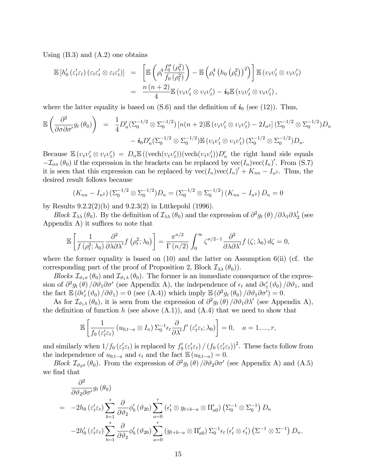Using  $(B.3)$  and  $(A.2)$  one obtains

$$
\mathbb{E}\left[h'_0\left(\varepsilon'_t\varepsilon_t\right)\left(\varepsilon_t\varepsilon'_t\otimes\varepsilon_t\varepsilon'_t\right)\right] = \left[\mathbb{E}\left(\rho_t^4\frac{f''_0\left(\rho_t^2\right)}{f_0\left(\rho_t^2\right)}\right) - \mathbb{E}\left(\rho_t^4\left(h_0\left(\rho_t^2\right)\right)^2\right)\right]\mathbb{E}\left(v_tv'_t\otimes v_tv'_t\right) \n= \frac{n\left(n+2\right)}{4}\mathbb{E}\left(v_tv'_t\otimes v_tv'_t\right) - \mathbf{i}_0\mathbb{E}\left(v_tv'_t\otimes v_tv'_t\right),
$$

where the latter equality is based on  $(S.6)$  and the definition of  $i_0$  (see (12)). Thus,

$$
\mathbb{E}\left(\frac{\partial^2}{\partial \sigma \partial \sigma'} g_t(\theta_0)\right) = \frac{1}{4} D'_n (\Sigma_0^{-1/2} \otimes \Sigma_0^{-1/2}) \left[ n(n+2) \mathbb{E} \left(v_t v'_t \otimes v_t v'_t \right) - 2I_{n^2} \right] (\Sigma_0^{-1/2} \otimes \Sigma_0^{-1/2}) D_n - i_0 D'_n (\Sigma_0^{-1/2} \otimes \Sigma_0^{-1/2}) \mathbb{E} \left(v_t v'_t \otimes v_t v'_t \right) (\Sigma_0^{-1/2} \otimes \Sigma_0^{-1/2}) D_n.
$$

Because  $\mathbb{E}(v_t v_t' \otimes v_t v_t') = D_n \mathbb{E}((\text{vech}(v_t v_t'))(\text{vech}(v_t v_t'))D'_n$  the right hand side equals  $-\mathcal{I}_{\sigma\sigma}(\theta_0)$  if the expression in the brackets can be replaced by  $\text{vec}(I_n)\text{vec}(I_n)$ . From (S.7) it is seen that this expression can be replaced by  $\text{vec}(I_n)\text{vec}(I_n)' + K_{nn} - I_{n^2}$ . Thus, the desired result follows because

$$
(K_{nn} - I_{n^2}) \left( \Sigma_0^{-1/2} \otimes \Sigma_0^{-1/2} \right) D_n = \left( \Sigma_0^{-1/2} \otimes \Sigma_0^{-1/2} \right) \left( K_{nn} - I_{n^2} \right) D_n = 0
$$

by Results  $9.2.2(2)(b)$  and  $9.2.3(2)$  in Lütkepohl (1996).

Block  $\mathcal{I}_{\lambda\lambda}(\theta_0)$ . By the definition of  $\mathcal{I}_{\lambda\lambda}(\theta_0)$  and the expression of  $\partial^2 g_t(\theta)/\partial \lambda_1 \partial \lambda_2'$  (see Appendix  $A$ ) it suffices to note that

$$
\mathbb{E}\left[\frac{1}{f\left(\rho_t^2;\lambda_0\right)}\frac{\partial^2}{\partial\lambda\partial\lambda'}f\left(\rho_t^2;\lambda_0\right)\right]=\frac{\pi^{n/2}}{\Gamma\left(n/2\right)}\int_0^\infty \zeta^{n/2-1}\frac{\partial^2}{\partial\lambda\partial\lambda'}f\left(\zeta;\lambda_0\right)d\zeta=0,
$$

where the former equality is based on  $(10)$  and the latter on Assumption 6(ii) (cf. the corresponding part of the proof of Proposition 2, Block  $\mathcal{I}_{\lambda\lambda}(\theta_0)$ .

Blocks  $\mathcal{I}_{\vartheta_1\sigma}(\theta_0)$  and  $\mathcal{I}_{\vartheta_1\lambda}(\theta_0)$ . The former is an immediate consequence of the expression of  $\partial^2 g_t(\theta) / \partial \vartheta_1 \partial \sigma'$  (see Appendix A), the independence of  $\epsilon_t$  and  $\partial \epsilon'_t (\vartheta_0) / \partial \vartheta_1$ , and the fact  $\mathbb{E}(\partial \epsilon'_t(\vartheta_0)/\partial \vartheta_1) = 0$  (see (A.4)) which imply  $\mathbb{E}(\partial^2 g_t(\theta_0)/\partial \vartheta_1 \partial \sigma') = 0$ .

As for  $\mathcal{I}_{\vartheta_1\lambda}(\theta_0)$ , it is seen from the expression of  $\partial^2 g_t(\theta) / \partial \vartheta_1 \partial \lambda'$  (see Appendix A), the definition of function h (see above  $(A.1)$ ), and  $(A.4)$  that we need to show that

$$
\mathbb{E}\left[\frac{1}{f_0\left(\varepsilon'_t\varepsilon_t\right)}\left(u_{0,t-a}\otimes I_n\right)\Sigma_0^{-1}\epsilon_t\frac{\partial}{\partial\lambda'}f'\left(\varepsilon'_t\varepsilon_t;\lambda_0\right)\right]=0,\quad a=1,...,r,
$$

and similarly when  $1/f_0(\varepsilon'_t\varepsilon_t)$  is replaced by  $f'_0(\varepsilon'_t\varepsilon_t) / (f_0(\varepsilon'_t\varepsilon_t))^2$ . These facts follow from the independence of  $u_{0,t-a}$  and  $\epsilon_t$  and the fact  $\mathbb{E}\left(u_{0,t-a}\right) = 0$ .

Block  $\mathcal{I}_{\vartheta_{2}\sigma}(\theta_0)$ . From the expression of  $\partial^2 g_t(\theta) / \partial \vartheta_2 \partial \sigma'$  (see Appendix A) and (A.5) we find that

$$
\frac{\partial^2}{\partial \vartheta_2 \partial \sigma'} g_t (\theta_0)
$$
\n
$$
= -2h_0 \left( \varepsilon_t' \varepsilon_t \right) \sum_{b=1}^s \frac{\partial}{\partial \vartheta_2} \phi_b' (\vartheta_{20}) \sum_{a=0}^r \left( \varepsilon_t' \otimes y_{t+b-a} \otimes \Pi_{a0}' \right) \left( \Sigma_0^{-1} \otimes \Sigma_0^{-1} \right) D_n
$$
\n
$$
-2h_0' \left( \varepsilon_t' \varepsilon_t \right) \sum_{b=1}^s \frac{\partial}{\partial \vartheta_2} \phi_b' (\vartheta_{20}) \sum_{a=0}^r \left( y_{t+b-a} \otimes \Pi_{a0}' \right) \Sigma_0^{-1} \epsilon_t \left( \varepsilon_t' \otimes \epsilon_t' \right) \left( \Sigma^{-1} \otimes \Sigma^{-1} \right) D_n.
$$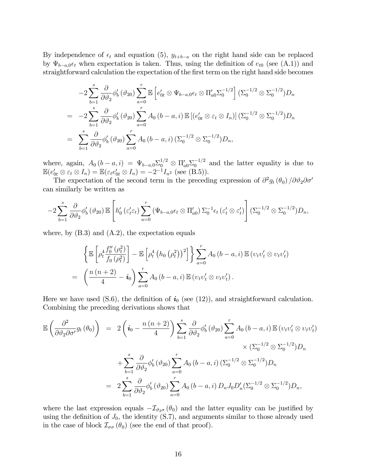By independence of  $\epsilon_t$  and equation (5),  $y_{t+b-a}$  on the right hand side can be replaced by  $\Psi_{b-a,0}\epsilon_t$  when expectation is taken. Thus, using the definition of  $e_{t0}$  (see (A.1)) and straightforward calculation the expectation of the first term on the right hand side becomes

$$
-2\sum_{b=1}^{s} \frac{\partial}{\partial \theta_{2}} \phi_{b}'(\theta_{20}) \sum_{a=0}^{r} \mathbb{E} \left[ e_{0t}' \otimes \Psi_{b-a,0} \epsilon_{t} \otimes \Pi_{a0}' \Sigma_{0}^{-1/2} \right] (\Sigma_{0}^{-1/2} \otimes \Sigma_{0}^{-1/2}) D_{n}
$$
  
= 
$$
-2\sum_{b=1}^{s} \frac{\partial}{\partial \theta_{2}} \phi_{b}'(\theta_{20}) \sum_{a=0}^{r} A_{0} (b-a, i) \mathbb{E} \left[ (e_{0t}' \otimes \epsilon_{t} \otimes I_{n}) \right] (\Sigma_{0}^{-1/2} \otimes \Sigma_{0}^{-1/2}) D_{n}
$$
  
= 
$$
\sum_{b=1}^{s} \frac{\partial}{\partial \theta_{2}} \phi_{b}'(\theta_{20}) \sum_{a=0}^{r} A_{0} (b-a, i) (\Sigma_{0}^{-1/2} \otimes \Sigma_{0}^{-1/2}) D_{n},
$$

where, again,  $A_0(b-a,i) = \Psi_{b-a,0} \Sigma_0^{1/2} \otimes \Pi'_{a0} \Sigma_0^{-1/2}$  and the latter equality is due to  $\mathbb{E}(e'_{0t} \otimes \varepsilon_t \otimes I_n) = \mathbb{E}(\varepsilon_t e'_{0t} \otimes I_n) = -2^{-1} I_{n^2}$  (see (B.5)).

The expectation of the second term in the preceding expression of  $\partial^2 g_t (\theta_0) / \partial \theta_2 \partial \sigma'$ can similarly be written as

$$
-2\sum_{b=1}^s \frac{\partial}{\partial \vartheta_2} \phi'_b(\vartheta_{20}) \mathbb{E}\left[h'_0(\varepsilon'_t \varepsilon_t) \sum_{a=0}^r (\Psi_{b-a,0} \epsilon_t \otimes \Pi'_{a0}) \Sigma_0^{-1} \epsilon_t (\varepsilon'_t \otimes \varepsilon'_t)\right] (\Sigma_0^{-1/2} \otimes \Sigma_0^{-1/2}) D_n,
$$

where, by  $(B.3)$  and  $(A.2)$ , the expectation equals

$$
\left\{\mathbb{E}\left[\rho_t^4 \frac{f_0''(\rho_t^2)}{f_0(\rho_t^2)}\right] - \mathbb{E}\left[\rho_t^4 \left(h_0\left(\rho_t^2\right)\right)^2\right]\right\} \sum_{a=0}^r A_0\left(b-a,i\right) \mathbb{E}\left(v_t v_t' \otimes v_t v_t'\right)
$$
\n
$$
= \left(\frac{n\left(n+2\right)}{4} - i_0\right) \sum_{a=0}^r A_0\left(b-a,i\right) \mathbb{E}\left(v_t v_t' \otimes v_t v_t'\right).
$$

Here we have used (S.6), the definition of  $i_0$  (see (12)), and straightforward calculation. Combining the preceding derivations shows that

$$
\mathbb{E}\left(\frac{\partial^{2}}{\partial\vartheta_{2}\partial\sigma'}g_{t}(\theta_{0})\right) = 2\left(\bm{i}_{0} - \frac{n(n+2)}{4}\right)\sum_{b=1}^{s}\frac{\partial}{\partial\vartheta_{2}}\phi'_{b}(\vartheta_{20})\sum_{a=0}^{r}A_{0}\left(b-a,i\right)\mathbb{E}\left(v_{t}v'_{t}\otimes v_{t}v'_{t}\right) \times\left(\Sigma_{0}^{-1/2}\otimes\Sigma_{0}^{-1/2}\right)D_{n} \n+ \sum_{b=1}^{s}\frac{\partial}{\partial\vartheta_{2}}\phi'_{b}(\vartheta_{20})\sum_{a=0}^{r}A_{0}\left(b-a,i\right)\left(\Sigma_{0}^{-1/2}\otimes\Sigma_{0}^{-1/2}\right)D_{n} \n= 2\sum_{b=1}^{s}\frac{\partial}{\partial\vartheta_{2}}\phi'_{b}(\vartheta_{20})\sum_{a=0}^{r}A_{0}\left(b-a,i\right)D_{n}J_{0}D'_{n}(\Sigma_{0}^{-1/2}\otimes\Sigma_{0}^{-1/2})D_{n},
$$

where the last expression equals  $-\mathcal{I}_{\vartheta_{2}\sigma}(\theta_0)$  and the latter equality can be justified by using the definition of  $J_0$ , the identity  $(S.7)$ , and arguments similar to those already used in the case of block  $\mathcal{I}_{\sigma\sigma}(\theta_0)$  (see the end of that proof).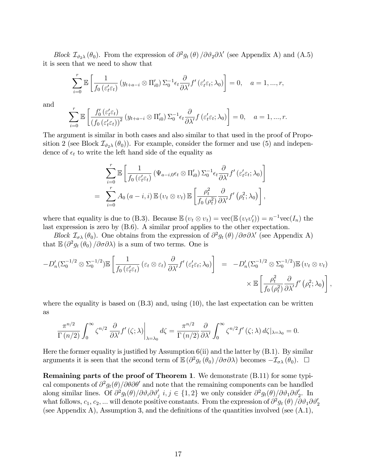Block  $\mathcal{I}_{\vartheta_2\lambda}(\theta_0)$ . From the expression of  $\partial^2 g_t(\theta) / \partial \vartheta_2 \partial \lambda'$  (see Appendix A) and (A.5) it is seen that we need to show that

$$
\sum_{i=0}^r \mathbb{E}\left[\frac{1}{f_0\left(\varepsilon_t'\varepsilon_t\right)} \left(y_{t+a-i} \otimes \Pi'_{i0}\right) \Sigma_0^{-1} \epsilon_t \frac{\partial}{\partial \lambda'} f'\left(\varepsilon_t'\varepsilon_t; \lambda_0\right)\right] = 0, \quad a = 1, ..., r,
$$

and

$$
\sum_{i=0}^r \mathbb{E}\left[\frac{f_0'(\varepsilon_t'\varepsilon_t)}{(f_0(\varepsilon_t'\varepsilon_t))^2} (y_{t+a-i} \otimes \Pi_{i0}') \Sigma_0^{-1} \epsilon_t \frac{\partial}{\partial \lambda'} f(\varepsilon_t' \varepsilon_t; \lambda_0)\right] = 0, \quad a = 1, ..., r.
$$

The argument is similar in both cases and also similar to that used in the proof of Proposition 2 (see Block  $\mathcal{I}_{\vartheta_2\lambda}(\theta_0)$ ). For example, consider the former and use (5) and independence of  $\epsilon_t$  to write the left hand side of the equality as

$$
\sum_{i=0}^{r} \mathbb{E} \left[ \frac{1}{f_0 \left( \varepsilon_t' \varepsilon_t \right)} \left( \Psi_{a-i,0} \epsilon_t \otimes \Pi'_{i0} \right) \Sigma_0^{-1} \epsilon_t \frac{\partial}{\partial \lambda'} f' \left( \varepsilon_t' \varepsilon_t; \lambda_0 \right) \right]
$$
  
= 
$$
\sum_{i=0}^{r} A_0 \left( a - i, i \right) \mathbb{E} \left( \nu_t \otimes \nu_t \right) \mathbb{E} \left[ \frac{\rho_t^2}{f_0 \left( \rho_t^2 \right)} \frac{\partial}{\partial \lambda'} f' \left( \rho_t^2; \lambda_0 \right) \right],
$$

where that equality is due to (B.3). Because  $\mathbb{E}(v_t \otimes v_t) = \text{vec}(\mathbb{E}(v_t v_t')) = n^{-1} \text{vec}(I_n)$  the last expression is zero by (B.6). A similar proof applies to the other expectation.

Block  $\mathcal{I}_{\sigma\lambda}(\theta_0)$ . One obtains from the expression of  $\partial^2 g_t(\theta) / \partial \sigma \partial \lambda'$  (see Appendix A) that  $\mathbb{E}(\partial^2 g_t(\theta_0)/\partial \sigma \partial \lambda)$  is a sum of two terms. One is

$$
-D'_{n}(\Sigma_{0}^{-1/2} \otimes \Sigma_{0}^{-1/2}) \mathbb{E}\left[\frac{1}{f_{0}\left(\varepsilon'_{t}\varepsilon_{t}\right)}\left(\varepsilon_{t} \otimes \varepsilon_{t}\right) \frac{\partial}{\partial \lambda'} f'\left(\varepsilon'_{t}\varepsilon_{t}; \lambda_{0}\right)\right] = -D'_{n}(\Sigma_{0}^{-1/2} \otimes \Sigma_{0}^{-1/2}) \mathbb{E}\left(v_{t} \otimes v_{t}\right) \times \mathbb{E}\left[\frac{\rho_{t}^{2}}{f_{0}\left(\rho_{t}^{2}\right)} \frac{\partial}{\partial \lambda'} f'\left(\rho_{t}^{2}; \lambda_{0}\right)\right],
$$

where the equality is based on  $(B.3)$  and, using  $(10)$ , the last expectation can be written as

$$
\frac{\pi^{n/2}}{\Gamma(n/2)} \int_0^\infty \zeta^{n/2} \left. \frac{\partial}{\partial \lambda'} f'(\zeta; \lambda) \right|_{\lambda = \lambda_0} d\zeta = \frac{\pi^{n/2}}{\Gamma(n/2)} \frac{\partial}{\partial \lambda'} \int_0^\infty \zeta^{n/2} f'(\zeta; \lambda) d\zeta|_{\lambda = \lambda_0} = 0.
$$

Here the former equality is justified by Assumption  $6(ii)$  and the latter by  $(B.1)$ . By similar arguments it is seen that the second term of  $\mathbb{E}(\partial^2 g_t(\theta_0)/\partial \sigma \partial \lambda)$  becomes  $-\mathcal{I}_{\sigma\lambda}(\theta_0)$ .  $\Box$ 

Remaining parts of the proof of Theorem 1. We demonstrate (B.11) for some typical components of  $\partial^2 g_t(\theta)/\partial\theta\partial\theta'$  and note that the remaining components can be handled along similar lines. Of  $\partial^2 g_t(\theta)/\partial \vartheta_i \partial \vartheta_j'$   $i, j \in \{1, 2\}$  we only consider  $\partial^2 g_t(\theta)/\partial \vartheta_1 \partial \vartheta_2'$ . In what follows,  $c_1, c_2, ...$  will denote positive constants. From the expression of  $\partial^2 g_t(\theta) / \partial \vartheta_1 \partial \vartheta_2'$ (see Appendix A), Assumption 3, and the definitions of the quantities involved (see  $(A.1)$ ,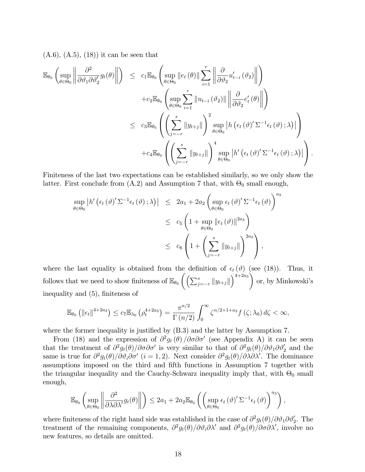$(A.6), (A.5), (18)$  it can be seen that

$$
\mathbb{E}_{\theta_{0}}\left(\sup_{\theta\in\Theta_{0}}\left\|\frac{\partial^{2}}{\partial\vartheta_{1}\partial\vartheta_{2}^{\prime}}g_{t}(\theta)\right\|_{2}\right) \leq c_{1}\mathbb{E}_{\theta_{0}}\left(\sup_{\theta\in\Theta_{0}}\left\|e_{t}\left(\theta\right)\right\|\sum_{i=1}^{r}\left\|\frac{\partial}{\partial\vartheta_{2}}u_{t-i}^{\prime}\left(\vartheta_{2}\right)\right\|_{2}\right) \n+c_{2}\mathbb{E}_{\theta_{0}}\left(\sup_{\theta\in\Theta_{0}}\sum_{i=1}^{r}\left\|u_{t-i}\left(\vartheta_{2}\right)\right\|\left\|\frac{\partial}{\partial\vartheta_{2}}e_{t}^{\prime}\left(\theta\right)\right\|_{2}\right) \n\leq c_{3}\mathbb{E}_{\theta_{0}}\left(\left(\sum_{j=-r}^{s}\left\|y_{t+j}\right\|\right)^{2}\sup_{\theta\in\Theta_{0}}\left\|h\left(\epsilon_{t}\left(\vartheta\right)^{\prime}\Sigma^{-1}\epsilon_{t}\left(\vartheta\right);\lambda\right)\right\|_{2}\right) \n+c_{4}\mathbb{E}_{\theta_{0}}\left(\left(\sum_{j=-r}^{s}\left\|y_{t+j}\right\|\right)^{4}\sup_{\theta\in\Theta_{0}}\left\|h^{\prime}\left(\epsilon_{t}\left(\vartheta\right)^{\prime}\Sigma^{-1}\epsilon_{t}\left(\vartheta\right);\lambda\right)\right|\right).
$$

Finiteness of the last two expectations can be established similarly, so we only show the latter. First conclude from  $(A.2)$  and Assumption 7 that, with  $\Theta_0$  small enough,

$$
\sup_{\theta \in \Theta_0} \left| h' \left( \epsilon_t \left( \vartheta \right)' \Sigma^{-1} \epsilon_t \left( \vartheta \right); \lambda \right) \right| \leq 2a_1 + 2a_2 \left( \sup_{\theta \in \Theta_0} \epsilon_t \left( \vartheta \right)' \Sigma^{-1} \epsilon_t \left( \vartheta \right) \right)^{a_3} \n\leq c_5 \left( 1 + \sup_{\theta \in \Theta_0} \left\| \epsilon_t \left( \vartheta \right) \right\|^{2a_3} \right) \n\leq c_6 \left( 1 + \left( \sum_{j=-r}^s \left\| y_{t+j} \right\| \right)^{2a_3} \right),
$$

where the last equality is obtained from the definition of  $\epsilon_t (\vartheta)$  (see (18)). Thus, it follows that we need to show finiteness of  $\mathbb{E}_{\theta_0}\left(\left(\sum_{j=-r}^s \|y_{t+j}\|\right)^{4+2a_3}\right)$ or, by Minkowski's inequality and (5), finiteness of

$$
\mathbb{E}_{\theta_0}\left(\left\|\epsilon_t\right\|^{4+2a_3}\right) \leq c_7 \mathbb{E}_{\lambda_0}\left(\rho_t^{4+2a_3}\right) = \frac{\pi^{n/2}}{\Gamma\left(n/2\right)} \int_0^\infty \zeta^{n/2+1+a_3} f\left(\zeta;\lambda_0\right) d\zeta < \infty,
$$

where the former inequality is justified by  $(B.3)$  and the latter by Assumption 7.

From (18) and the expression of  $\partial^2 g_t(\theta) / \partial \sigma \partial \sigma'$  (see Appendix A) it can be seen that the treatment of  $\partial^2 g_t(\theta)/\partial \sigma \partial \sigma'$  is very similar to that of  $\partial^2 g_t(\theta)/\partial \vartheta_1 \partial \vartheta'_2$  and the same is true for  $\partial^2 g_t(\theta)/\partial \theta_i \partial \sigma'$   $(i = 1, 2)$ . Next consider  $\partial^2 g_t(\theta)/\partial \lambda \partial \lambda'$ . The dominance assumptions imposed on the third and Öfth functions in Assumption 7 together with the triangular inequality and the Cauchy-Schwarz inequality imply that, with  $\Theta_0$  small enough,

$$
\mathbb{E}_{\theta_0} \left( \sup_{\theta \in \Theta_0} \left\| \frac{\partial^2}{\partial \lambda \partial \lambda'} g_t(\theta) \right\| \right) \leq 2a_1 + 2a_2 \mathbb{E}_{\theta_0} \left( \left( \sup_{\theta \in \Theta_0} \epsilon_t \left( \vartheta \right)' \Sigma^{-1} \epsilon_t(\vartheta) \right)^{a_3} \right),
$$

where finiteness of the right hand side was established in the case of  $\partial^2 g_t(\theta)/\partial \vartheta_1 \partial \vartheta_2'$ . The treatment of the remaining components,  $\partial^2 g_t(\theta)/\partial \vartheta_i \partial \lambda'$  and  $\partial^2 g_t(\theta)/\partial \sigma \partial \lambda'$ , involve no new features, so details are omitted.